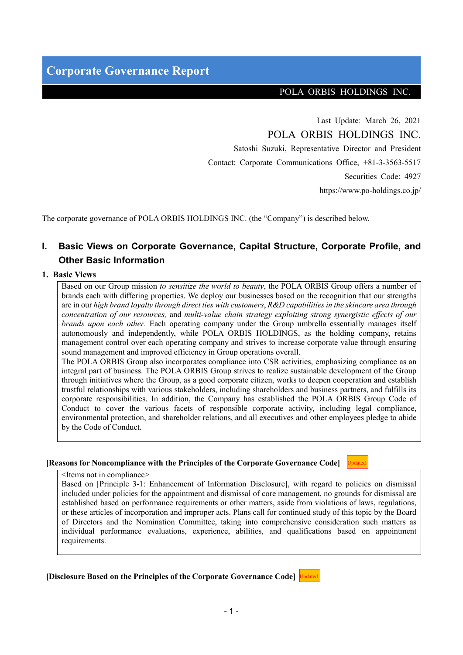#### POLA ORBIS HOLDINGS INC.

Updated

Last Update: March 26, 2021 POLA ORBIS HOLDINGS INC. Satoshi Suzuki, Representative Director and President Contact: Corporate Communications Office, +81-3-3563-5517 Securities Code: 4927 https://www.po-holdings.co.jp/

The corporate governance of POLA ORBIS HOLDINGS INC. (the "Company") is described below.

## **I. Basic Views on Corporate Governance, Capital Structure, Corporate Profile, and Other Basic Information**

#### **1. Basic Views**

Based on our Group mission *to sensitize the world to beauty*, the POLA ORBIS Group offers a number of brands each with differing properties. We deploy our businesses based on the recognition that our strengths are in our *high brand loyalty through direct ties with customers*, *R&D capabilities in the skincare area through concentration of our resources,* and *multi-value chain strategy exploiting strong synergistic effects of our brands upon each other*. Each operating company under the Group umbrella essentially manages itself autonomously and independently, while POLA ORBIS HOLDINGS, as the holding company, retains management control over each operating company and strives to increase corporate value through ensuring sound management and improved efficiency in Group operations overall.

The POLA ORBIS Group also incorporates compliance into CSR activities, emphasizing compliance as an integral part of business. The POLA ORBIS Group strives to realize sustainable development of the Group through initiatives where the Group, as a good corporate citizen, works to deepen cooperation and establish trustful relationships with various stakeholders, including shareholders and business partners, and fulfills its corporate responsibilities. In addition, the Company has established the POLA ORBIS Group Code of Conduct to cover the various facets of responsible corporate activity, including legal compliance, environmental protection, and shareholder relations, and all executives and other employees pledge to abide by the Code of Conduct.

#### **[Reasons for Noncompliance with the Principles of the Corporate Governance Code]**

<Items not in compliance>

Based on [Principle 3-1: Enhancement of Information Disclosure], with regard to policies on dismissal included under policies for the appointment and dismissal of core management, no grounds for dismissal are established based on performance requirements or other matters, aside from violations of laws, regulations, or these articles of incorporation and improper acts. Plans call for continued study of this topic by the Board of Directors and the Nomination Committee, taking into comprehensive consideration such matters as individual performance evaluations, experience, abilities, and qualifications based on appointment requirements.

**[Disclosure Based on the Principles of the Corporate Governance Code]**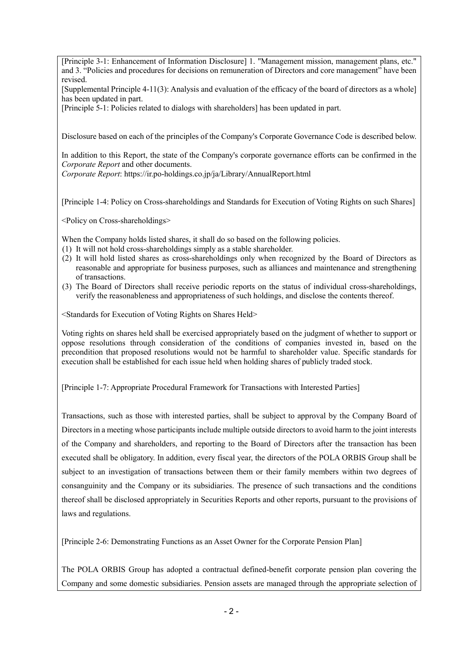[Principle 3-1: Enhancement of Information Disclosure] 1. "Management mission, management plans, etc." and 3. "Policies and procedures for decisions on remuneration of Directors and core management" have been revised.

[Supplemental Principle 4-11(3): Analysis and evaluation of the efficacy of the board of directors as a whole] has been updated in part.

[Principle 5-1: Policies related to dialogs with shareholders] has been updated in part.

Disclosure based on each of the principles of the Company's Corporate Governance Code is described below.

In addition to this Report, the state of the Company's corporate governance efforts can be confirmed in the *Corporate Report* and other documents.

*Corporate Report*: https://ir.po-holdings.co.jp/ja/Library/AnnualReport.html

[Principle 1-4: Policy on Cross-shareholdings and Standards for Execution of Voting Rights on such Shares]

<Policy on Cross-shareholdings>

When the Company holds listed shares, it shall do so based on the following policies.

- (1) It will not hold cross-shareholdings simply as a stable shareholder.
- (2) It will hold listed shares as cross-shareholdings only when recognized by the Board of Directors as reasonable and appropriate for business purposes, such as alliances and maintenance and strengthening of transactions.
- (3) The Board of Directors shall receive periodic reports on the status of individual cross-shareholdings, verify the reasonableness and appropriateness of such holdings, and disclose the contents thereof.

<Standards for Execution of Voting Rights on Shares Held>

Voting rights on shares held shall be exercised appropriately based on the judgment of whether to support or oppose resolutions through consideration of the conditions of companies invested in, based on the precondition that proposed resolutions would not be harmful to shareholder value. Specific standards for execution shall be established for each issue held when holding shares of publicly traded stock.

[Principle 1-7: Appropriate Procedural Framework for Transactions with Interested Parties]

Transactions, such as those with interested parties, shall be subject to approval by the Company Board of Directors in a meeting whose participants include multiple outside directors to avoid harm to the joint interests of the Company and shareholders, and reporting to the Board of Directors after the transaction has been executed shall be obligatory. In addition, every fiscal year, the directors of the POLA ORBIS Group shall be subject to an investigation of transactions between them or their family members within two degrees of consanguinity and the Company or its subsidiaries. The presence of such transactions and the conditions thereof shall be disclosed appropriately in Securities Reports and other reports, pursuant to the provisions of laws and regulations.

[Principle 2-6: Demonstrating Functions as an Asset Owner for the Corporate Pension Plan]

The POLA ORBIS Group has adopted a contractual defined-benefit corporate pension plan covering the Company and some domestic subsidiaries. Pension assets are managed through the appropriate selection of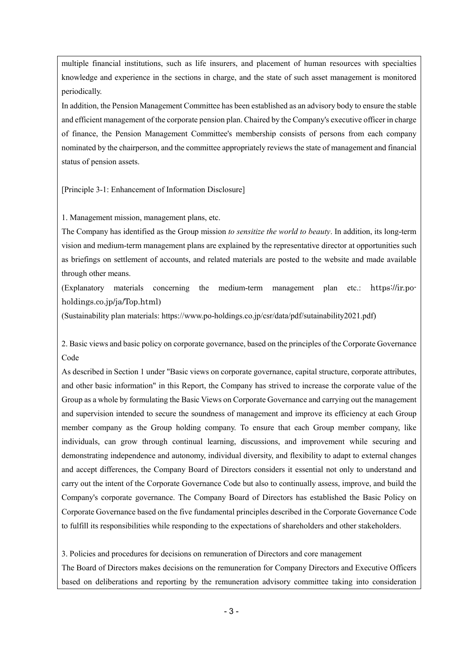multiple financial institutions, such as life insurers, and placement of human resources with specialties knowledge and experience in the sections in charge, and the state of such asset management is monitored periodically.

In addition, the Pension Management Committee has been established as an advisory body to ensure the stable and efficient management of the corporate pension plan. Chaired by the Company's executive officer in charge of finance, the Pension Management Committee's membership consists of persons from each company nominated by the chairperson, and the committee appropriately reviews the state of management and financial status of pension assets.

[Principle 3-1: Enhancement of Information Disclosure]

1. Management mission, management plans, etc.

The Company has identified as the Group mission *to sensitize the world to beauty*. In addition, its long-term vision and medium-term management plans are explained by the representative director at opportunities such as briefings on settlement of accounts, and related materials are posted to the website and made available through other means.

(Explanatory materials concerning the medium-term management plan etc.: https://ir.poholdings.co.jp/ja/Top.html)

(Sustainability plan materials: https://www.po-holdings.co.jp/csr/data/pdf/sutainability2021.pdf)

2. Basic views and basic policy on corporate governance, based on the principles of the Corporate Governance Code

As described in Section 1 under "Basic views on corporate governance, capital structure, corporate attributes, and other basic information" in this Report, the Company has strived to increase the corporate value of the Group as a whole by formulating the Basic Views on Corporate Governance and carrying out the management and supervision intended to secure the soundness of management and improve its efficiency at each Group member company as the Group holding company. To ensure that each Group member company, like individuals, can grow through continual learning, discussions, and improvement while securing and demonstrating independence and autonomy, individual diversity, and flexibility to adapt to external changes and accept differences, the Company Board of Directors considers it essential not only to understand and carry out the intent of the Corporate Governance Code but also to continually assess, improve, and build the Company's corporate governance. The Company Board of Directors has established the Basic Policy on Corporate Governance based on the five fundamental principles described in the Corporate Governance Code to fulfill its responsibilities while responding to the expectations of shareholders and other stakeholders.

3. Policies and procedures for decisions on remuneration of Directors and core management

The Board of Directors makes decisions on the remuneration for Company Directors and Executive Officers based on deliberations and reporting by the remuneration advisory committee taking into consideration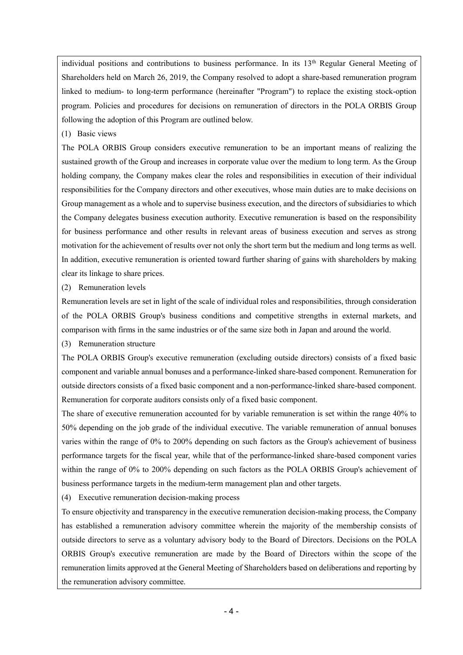individual positions and contributions to business performance. In its 13<sup>th</sup> Regular General Meeting of Shareholders held on March 26, 2019, the Company resolved to adopt a share-based remuneration program linked to medium- to long-term performance (hereinafter "Program") to replace the existing stock-option program. Policies and procedures for decisions on remuneration of directors in the POLA ORBIS Group following the adoption of this Program are outlined below.

(1) Basic views

The POLA ORBIS Group considers executive remuneration to be an important means of realizing the sustained growth of the Group and increases in corporate value over the medium to long term. As the Group holding company, the Company makes clear the roles and responsibilities in execution of their individual responsibilities for the Company directors and other executives, whose main duties are to make decisions on Group management as a whole and to supervise business execution, and the directors of subsidiaries to which the Company delegates business execution authority. Executive remuneration is based on the responsibility for business performance and other results in relevant areas of business execution and serves as strong motivation for the achievement of results over not only the short term but the medium and long terms as well. In addition, executive remuneration is oriented toward further sharing of gains with shareholders by making clear its linkage to share prices.

(2) Remuneration levels

Remuneration levels are set in light of the scale of individual roles and responsibilities, through consideration of the POLA ORBIS Group's business conditions and competitive strengths in external markets, and comparison with firms in the same industries or of the same size both in Japan and around the world.

(3) Remuneration structure

The POLA ORBIS Group's executive remuneration (excluding outside directors) consists of a fixed basic component and variable annual bonuses and a performance-linked share-based component. Remuneration for outside directors consists of a fixed basic component and a non-performance-linked share-based component. Remuneration for corporate auditors consists only of a fixed basic component.

The share of executive remuneration accounted for by variable remuneration is set within the range 40% to 50% depending on the job grade of the individual executive. The variable remuneration of annual bonuses varies within the range of 0% to 200% depending on such factors as the Group's achievement of business performance targets for the fiscal year, while that of the performance-linked share-based component varies within the range of 0% to 200% depending on such factors as the POLA ORBIS Group's achievement of business performance targets in the medium-term management plan and other targets.

(4) Executive remuneration decision-making process

To ensure objectivity and transparency in the executive remuneration decision-making process, the Company has established a remuneration advisory committee wherein the majority of the membership consists of outside directors to serve as a voluntary advisory body to the Board of Directors. Decisions on the POLA ORBIS Group's executive remuneration are made by the Board of Directors within the scope of the remuneration limits approved at the General Meeting of Shareholders based on deliberations and reporting by the remuneration advisory committee.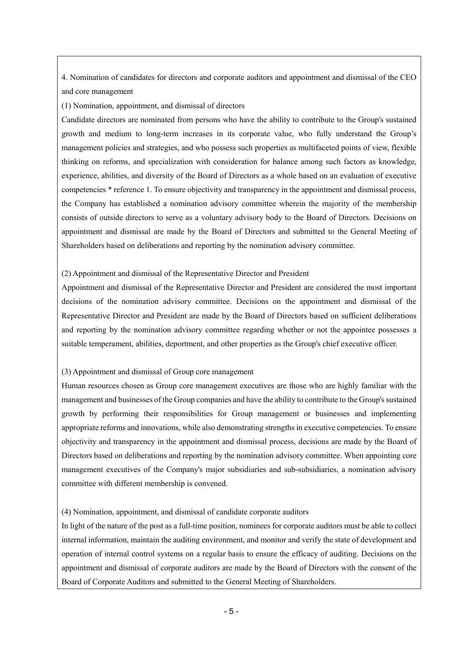4. Nomination of candidates for directors and corporate auditors and appointment and dismissal of the CEO and core management

(1) Nomination, appointment, and dismissal of directors

Candidate directors are nominated from persons who have the ability to contribute to the Group's sustained growth and medium to long-term increases in its corporate value, who fully understand the Group's management policies and strategies, and who possess such properties as multifaceted points of view, flexible thinking on reforms, and specialization with consideration for balance among such factors as knowledge, experience, abilities, and diversity of the Board of Directors as a whole based on an evaluation of executive competencies \* reference 1. To ensure objectivity and transparency in the appointment and dismissal process, the Company has established a nomination advisory committee wherein the majority of the membership consists of outside directors to serve as a voluntary advisory body to the Board of Directors. Decisions on appointment and dismissal are made by the Board of Directors and submitted to the General Meeting of Shareholders based on deliberations and reporting by the nomination advisory committee.

#### (2) Appointment and dismissal of the Representative Director and President

Appointment and dismissal of the Representative Director and President are considered the most important decisions of the nomination advisory committee. Decisions on the appointment and dismissal of the Representative Director and President are made by the Board of Directors based on sufficient deliberations and reporting by the nomination advisory committee regarding whether or not the appointee possesses a suitable temperament, abilities, deportment, and other properties as the Group's chief executive officer.

#### (3) Appointment and dismissal of Group core management

Human resources chosen as Group core management executives are those who are highly familiar with the management and businesses of the Group companies and have the ability to contribute to the Group's sustained growth by performing their responsibilities for Group management or businesses and implementing appropriate reforms and innovations, while also demonstrating strengths in executive competencies. To ensure objectivity and transparency in the appointment and dismissal process, decisions are made by the Board of Directors based on deliberations and reporting by the nomination advisory committee. When appointing core management executives of the Company's major subsidiaries and sub-subsidiaries, a nomination advisory committee with different membership is convened.

#### (4) Nomination, appointment, and dismissal of candidate corporate auditors

In light of the nature of the post as a full-time position, nominees for corporate auditors must be able to collect internal information, maintain the auditing environment, and monitor and verify the state of development and operation of internal control systems on a regular basis to ensure the efficacy of auditing. Decisions on the appointment and dismissal of corporate auditors are made by the Board of Directors with the consent of the Board of Corporate Auditors and submitted to the General Meeting of Shareholders.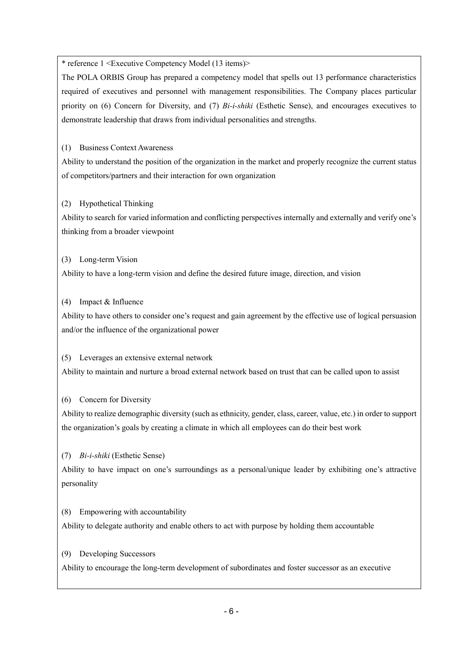\* reference 1 <Executive Competency Model (13 items)>

The POLA ORBIS Group has prepared a competency model that spells out 13 performance characteristics required of executives and personnel with management responsibilities. The Company places particular priority on (6) Concern for Diversity, and (7) *Bi-i-shiki* (Esthetic Sense), and encourages executives to demonstrate leadership that draws from individual personalities and strengths.

(1) Business Context Awareness

Ability to understand the position of the organization in the market and properly recognize the current status of competitors/partners and their interaction for own organization

(2) Hypothetical Thinking

Ability to search for varied information and conflicting perspectives internally and externally and verify one's thinking from a broader viewpoint

(3) Long-term Vision

Ability to have a long-term vision and define the desired future image, direction, and vision

(4) Impact & Influence

Ability to have others to consider one's request and gain agreement by the effective use of logical persuasion and/or the influence of the organizational power

(5) Leverages an extensive external network

Ability to maintain and nurture a broad external network based on trust that can be called upon to assist

(6) Concern for Diversity

Ability to realize demographic diversity (such as ethnicity, gender, class, career, value, etc.) in order to support the organization's goals by creating a climate in which all employees can do their best work

(7) *Bi-i-shiki* (Esthetic Sense)

Ability to have impact on one's surroundings as a personal/unique leader by exhibiting one's attractive personality

(8) Empowering with accountability

Ability to delegate authority and enable others to act with purpose by holding them accountable

(9) Developing Successors

Ability to encourage the long-term development of subordinates and foster successor as an executive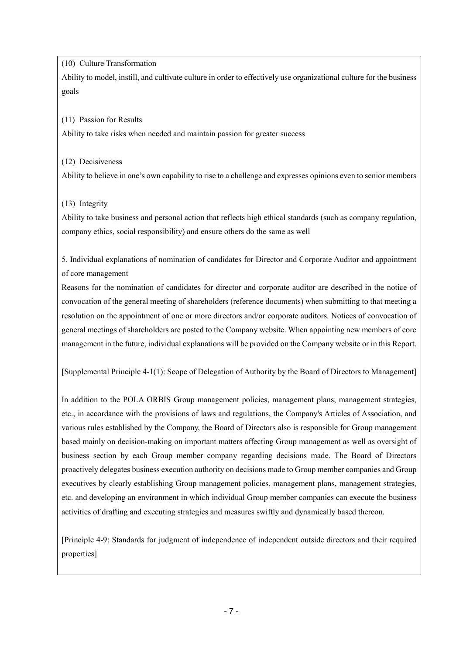(10) Culture Transformation

Ability to model, instill, and cultivate culture in order to effectively use organizational culture for the business goals

(11) Passion for Results

Ability to take risks when needed and maintain passion for greater success

(12) Decisiveness

Ability to believe in one's own capability to rise to a challenge and expresses opinions even to senior members

(13) Integrity

Ability to take business and personal action that reflects high ethical standards (such as company regulation, company ethics, social responsibility) and ensure others do the same as well

5. Individual explanations of nomination of candidates for Director and Corporate Auditor and appointment of core management

Reasons for the nomination of candidates for director and corporate auditor are described in the notice of convocation of the general meeting of shareholders (reference documents) when submitting to that meeting a resolution on the appointment of one or more directors and/or corporate auditors. Notices of convocation of general meetings of shareholders are posted to the Company website. When appointing new members of core management in the future, individual explanations will be provided on the Company website or in this Report.

[Supplemental Principle 4-1(1): Scope of Delegation of Authority by the Board of Directors to Management]

In addition to the POLA ORBIS Group management policies, management plans, management strategies, etc., in accordance with the provisions of laws and regulations, the Company's Articles of Association, and various rules established by the Company, the Board of Directors also is responsible for Group management based mainly on decision-making on important matters affecting Group management as well as oversight of business section by each Group member company regarding decisions made. The Board of Directors proactively delegates business execution authority on decisions made to Group member companies and Group executives by clearly establishing Group management policies, management plans, management strategies, etc. and developing an environment in which individual Group member companies can execute the business activities of drafting and executing strategies and measures swiftly and dynamically based thereon.

[Principle 4-9: Standards for judgment of independence of independent outside directors and their required properties]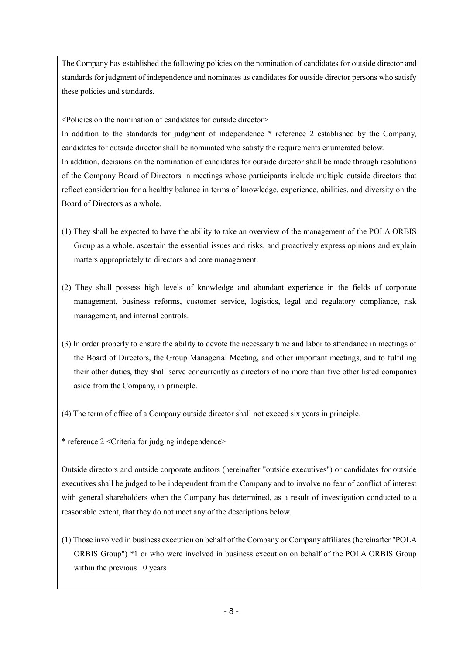The Company has established the following policies on the nomination of candidates for outside director and standards for judgment of independence and nominates as candidates for outside director persons who satisfy these policies and standards.

<Policies on the nomination of candidates for outside director>

In addition to the standards for judgment of independence \* reference 2 established by the Company, candidates for outside director shall be nominated who satisfy the requirements enumerated below. In addition, decisions on the nomination of candidates for outside director shall be made through resolutions of the Company Board of Directors in meetings whose participants include multiple outside directors that reflect consideration for a healthy balance in terms of knowledge, experience, abilities, and diversity on the Board of Directors as a whole.

- (1) They shall be expected to have the ability to take an overview of the management of the POLA ORBIS Group as a whole, ascertain the essential issues and risks, and proactively express opinions and explain matters appropriately to directors and core management.
- (2) They shall possess high levels of knowledge and abundant experience in the fields of corporate management, business reforms, customer service, logistics, legal and regulatory compliance, risk management, and internal controls.
- (3) In order properly to ensure the ability to devote the necessary time and labor to attendance in meetings of the Board of Directors, the Group Managerial Meeting, and other important meetings, and to fulfilling their other duties, they shall serve concurrently as directors of no more than five other listed companies aside from the Company, in principle.
- (4) The term of office of a Company outside director shall not exceed six years in principle.
- \* reference 2 <Criteria for judging independence>

Outside directors and outside corporate auditors (hereinafter "outside executives") or candidates for outside executives shall be judged to be independent from the Company and to involve no fear of conflict of interest with general shareholders when the Company has determined, as a result of investigation conducted to a reasonable extent, that they do not meet any of the descriptions below.

(1) Those involved in business execution on behalf of the Company or Company affiliates (hereinafter "POLA ORBIS Group") \*1 or who were involved in business execution on behalf of the POLA ORBIS Group within the previous 10 years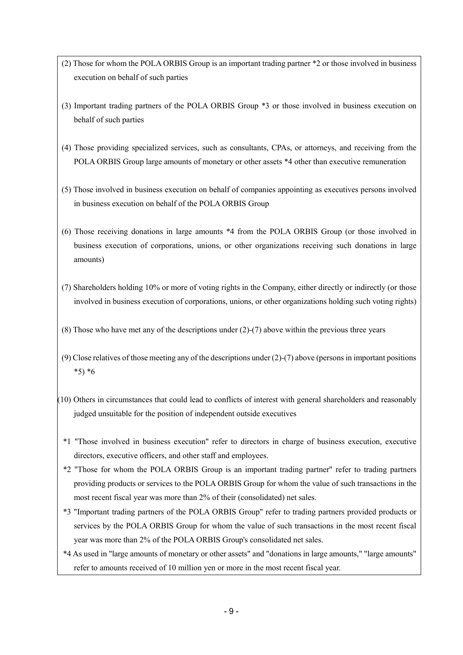- (2) Those for whom the POLA ORBIS Group is an important trading partner \*2 or those involved in business execution on behalf of such parties
- (3) Important trading partners of the POLA ORBIS Group \*3 or those involved in business execution on behalf of such parties
- (4) Those providing specialized services, such as consultants, CPAs, or attorneys, and receiving from the POLA ORBIS Group large amounts of monetary or other assets \*4 other than executive remuneration
- (5) Those involved in business execution on behalf of companies appointing as executives persons involved in business execution on behalf of the POLA ORBIS Group
- (6) Those receiving donations in large amounts \*4 from the POLA ORBIS Group (or those involved in business execution of corporations, unions, or other organizations receiving such donations in large amounts)
- (7) Shareholders holding 10% or more of voting rights in the Company, either directly or indirectly (or those involved in business execution of corporations, unions, or other organizations holding such voting rights)
- (8) Those who have met any of the descriptions under (2)-(7) above within the previous three years
- (9) Close relatives of those meeting any of the descriptions under (2)-(7) above (persons in important positions \*5) \*6
- (10) Others in circumstances that could lead to conflicts of interest with general shareholders and reasonably judged unsuitable for the position of independent outside executives
	- \*1 "Those involved in business execution" refer to directors in charge of business execution, executive directors, executive officers, and other staff and employees.
	- \*2 "Those for whom the POLA ORBIS Group is an important trading partner" refer to trading partners providing products or services to the POLA ORBIS Group for whom the value of such transactions in the most recent fiscal year was more than 2% of their (consolidated) net sales.
	- \*3 "Important trading partners of the POLA ORBIS Group" refer to trading partners provided products or services by the POLA ORBIS Group for whom the value of such transactions in the most recent fiscal year was more than 2% of the POLA ORBIS Group's consolidated net sales.
	- \*4 As used in "large amounts of monetary or other assets" and "donations in large amounts," "large amounts" refer to amounts received of 10 million yen or more in the most recent fiscal year.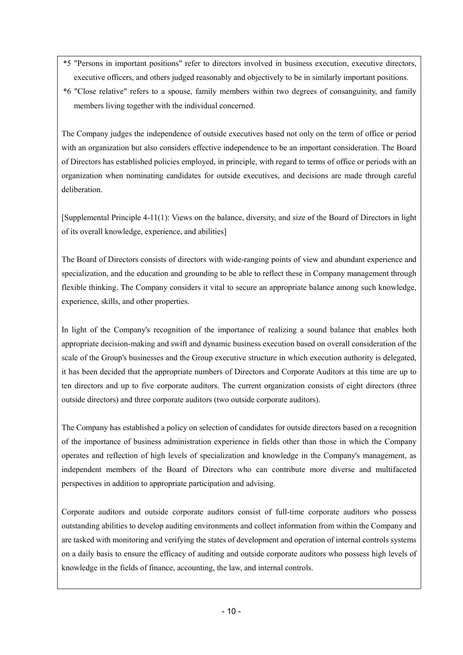- \*5 "Persons in important positions" refer to directors involved in business execution, executive directors, executive officers, and others judged reasonably and objectively to be in similarly important positions.
- \*6 "Close relative" refers to a spouse, family members within two degrees of consanguinity, and family members living together with the individual concerned.

The Company judges the independence of outside executives based not only on the term of office or period with an organization but also considers effective independence to be an important consideration. The Board of Directors has established policies employed, in principle, with regard to terms of office or periods with an organization when nominating candidates for outside executives, and decisions are made through careful deliberation.

[Supplemental Principle 4-11(1): Views on the balance, diversity, and size of the Board of Directors in light of its overall knowledge, experience, and abilities]

The Board of Directors consists of directors with wide-ranging points of view and abundant experience and specialization, and the education and grounding to be able to reflect these in Company management through flexible thinking. The Company considers it vital to secure an appropriate balance among such knowledge, experience, skills, and other properties.

In light of the Company's recognition of the importance of realizing a sound balance that enables both appropriate decision-making and swift and dynamic business execution based on overall consideration of the scale of the Group's businesses and the Group executive structure in which execution authority is delegated, it has been decided that the appropriate numbers of Directors and Corporate Auditors at this time are up to ten directors and up to five corporate auditors. The current organization consists of eight directors (three outside directors) and three corporate auditors (two outside corporate auditors).

The Company has established a policy on selection of candidates for outside directors based on a recognition of the importance of business administration experience in fields other than those in which the Company operates and reflection of high levels of specialization and knowledge in the Company's management, as independent members of the Board of Directors who can contribute more diverse and multifaceted perspectives in addition to appropriate participation and advising.

Corporate auditors and outside corporate auditors consist of full-time corporate auditors who possess outstanding abilities to develop auditing environments and collect information from within the Company and are tasked with monitoring and verifying the states of development and operation of internal controls systems on a daily basis to ensure the efficacy of auditing and outside corporate auditors who possess high levels of knowledge in the fields of finance, accounting, the law, and internal controls.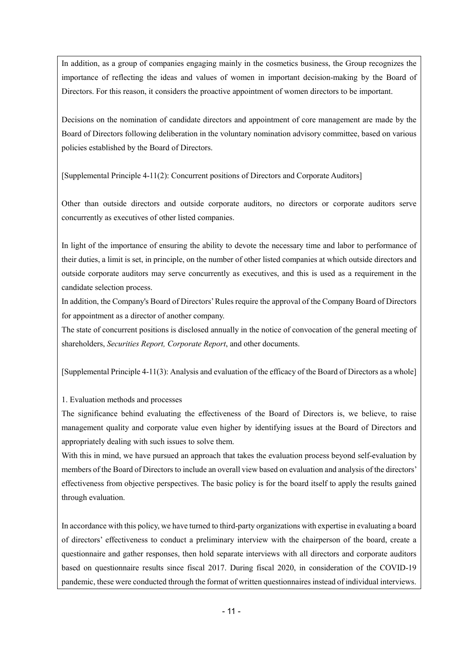In addition, as a group of companies engaging mainly in the cosmetics business, the Group recognizes the importance of reflecting the ideas and values of women in important decision-making by the Board of Directors. For this reason, it considers the proactive appointment of women directors to be important.

Decisions on the nomination of candidate directors and appointment of core management are made by the Board of Directors following deliberation in the voluntary nomination advisory committee, based on various policies established by the Board of Directors.

[Supplemental Principle 4-11(2): Concurrent positions of Directors and Corporate Auditors]

Other than outside directors and outside corporate auditors, no directors or corporate auditors serve concurrently as executives of other listed companies.

In light of the importance of ensuring the ability to devote the necessary time and labor to performance of their duties, a limit is set, in principle, on the number of other listed companies at which outside directors and outside corporate auditors may serve concurrently as executives, and this is used as a requirement in the candidate selection process.

In addition, the Company's Board of Directors'Rules require the approval of the Company Board of Directors for appointment as a director of another company.

The state of concurrent positions is disclosed annually in the notice of convocation of the general meeting of shareholders, *Securities Report, Corporate Report*, and other documents.

[Supplemental Principle 4-11(3): Analysis and evaluation of the efficacy of the Board of Directors as a whole]

## 1. Evaluation methods and processes

The significance behind evaluating the effectiveness of the Board of Directors is, we believe, to raise management quality and corporate value even higher by identifying issues at the Board of Directors and appropriately dealing with such issues to solve them.

With this in mind, we have pursued an approach that takes the evaluation process beyond self-evaluation by members of the Board of Directors to include an overall view based on evaluation and analysis of the directors' effectiveness from objective perspectives. The basic policy is for the board itself to apply the results gained through evaluation.

In accordance with this policy, we have turned to third-party organizations with expertise in evaluating a board of directors' effectiveness to conduct a preliminary interview with the chairperson of the board, create a questionnaire and gather responses, then hold separate interviews with all directors and corporate auditors based on questionnaire results since fiscal 2017. During fiscal 2020, in consideration of the COVID-19 pandemic, these were conducted through the format of written questionnaires instead of individual interviews.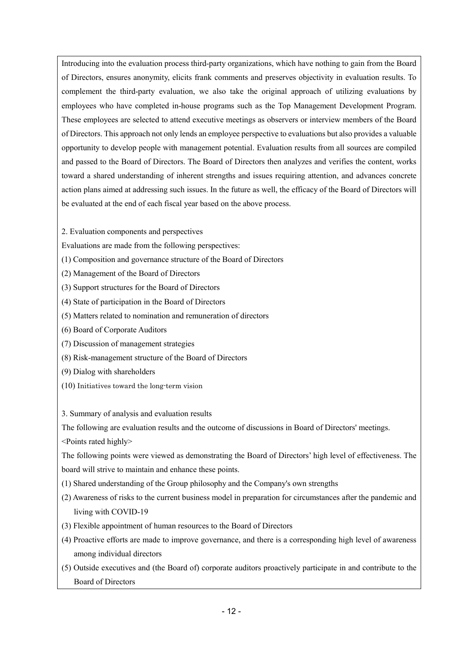Introducing into the evaluation process third-party organizations, which have nothing to gain from the Board of Directors, ensures anonymity, elicits frank comments and preserves objectivity in evaluation results. To complement the third-party evaluation, we also take the original approach of utilizing evaluations by employees who have completed in-house programs such as the Top Management Development Program. These employees are selected to attend executive meetings as observers or interview members of the Board of Directors. This approach not only lends an employee perspective to evaluations but also provides a valuable opportunity to develop people with management potential. Evaluation results from all sources are compiled and passed to the Board of Directors. The Board of Directors then analyzes and verifies the content, works toward a shared understanding of inherent strengths and issues requiring attention, and advances concrete action plans aimed at addressing such issues. In the future as well, the efficacy of the Board of Directors will be evaluated at the end of each fiscal year based on the above process.

2. Evaluation components and perspectives

Evaluations are made from the following perspectives:

(1) Composition and governance structure of the Board of Directors

- (2) Management of the Board of Directors
- (3) Support structures for the Board of Directors
- (4) State of participation in the Board of Directors
- (5) Matters related to nomination and remuneration of directors
- (6) Board of Corporate Auditors
- (7) Discussion of management strategies
- (8) Risk-management structure of the Board of Directors
- (9) Dialog with shareholders
- (10) Initiatives toward the long-term vision

3. Summary of analysis and evaluation results

The following are evaluation results and the outcome of discussions in Board of Directors' meetings. <Points rated highly>

The following points were viewed as demonstrating the Board of Directors' high level of effectiveness. The board will strive to maintain and enhance these points.

(1) Shared understanding of the Group philosophy and the Company's own strengths

- (2) Awareness of risks to the current business model in preparation for circumstances after the pandemic and living with COVID-19
- (3) Flexible appointment of human resources to the Board of Directors
- (4) Proactive efforts are made to improve governance, and there is a corresponding high level of awareness among individual directors
- (5) Outside executives and (the Board of) corporate auditors proactively participate in and contribute to the Board of Directors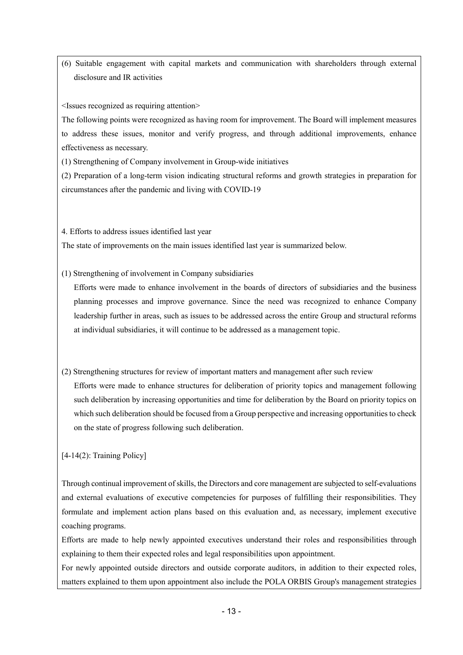(6) Suitable engagement with capital markets and communication with shareholders through external disclosure and IR activities

<Issues recognized as requiring attention>

The following points were recognized as having room for improvement. The Board will implement measures to address these issues, monitor and verify progress, and through additional improvements, enhance effectiveness as necessary.

(1) Strengthening of Company involvement in Group-wide initiatives

(2) Preparation of a long-term vision indicating structural reforms and growth strategies in preparation for circumstances after the pandemic and living with COVID-19

4. Efforts to address issues identified last year

The state of improvements on the main issues identified last year is summarized below.

(1) Strengthening of involvement in Company subsidiaries

Efforts were made to enhance involvement in the boards of directors of subsidiaries and the business planning processes and improve governance. Since the need was recognized to enhance Company leadership further in areas, such as issues to be addressed across the entire Group and structural reforms at individual subsidiaries, it will continue to be addressed as a management topic.

(2) Strengthening structures for review of important matters and management after such review Efforts were made to enhance structures for deliberation of priority topics and management following such deliberation by increasing opportunities and time for deliberation by the Board on priority topics on which such deliberation should be focused from a Group perspective and increasing opportunities to check on the state of progress following such deliberation.

[4-14(2): Training Policy]

Through continual improvement of skills, the Directors and core management are subjected to self-evaluations and external evaluations of executive competencies for purposes of fulfilling their responsibilities. They formulate and implement action plans based on this evaluation and, as necessary, implement executive coaching programs.

Efforts are made to help newly appointed executives understand their roles and responsibilities through explaining to them their expected roles and legal responsibilities upon appointment.

For newly appointed outside directors and outside corporate auditors, in addition to their expected roles, matters explained to them upon appointment also include the POLA ORBIS Group's management strategies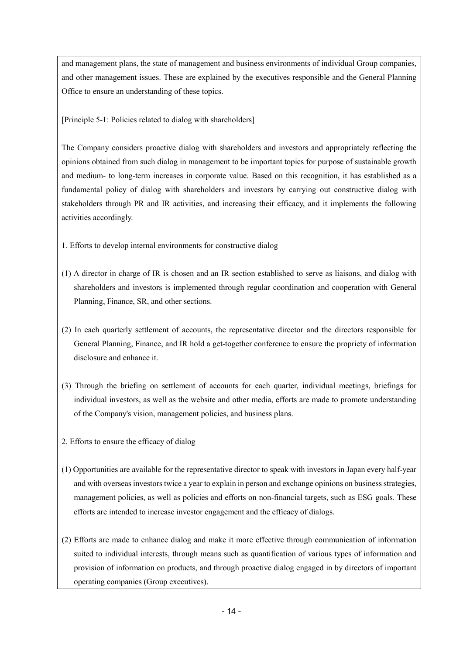and management plans, the state of management and business environments of individual Group companies, and other management issues. These are explained by the executives responsible and the General Planning Office to ensure an understanding of these topics.

[Principle 5-1: Policies related to dialog with shareholders]

The Company considers proactive dialog with shareholders and investors and appropriately reflecting the opinions obtained from such dialog in management to be important topics for purpose of sustainable growth and medium- to long-term increases in corporate value. Based on this recognition, it has established as a fundamental policy of dialog with shareholders and investors by carrying out constructive dialog with stakeholders through PR and IR activities, and increasing their efficacy, and it implements the following activities accordingly.

- 1. Efforts to develop internal environments for constructive dialog
- (1) A director in charge of IR is chosen and an IR section established to serve as liaisons, and dialog with shareholders and investors is implemented through regular coordination and cooperation with General Planning, Finance, SR, and other sections.
- (2) In each quarterly settlement of accounts, the representative director and the directors responsible for General Planning, Finance, and IR hold a get-together conference to ensure the propriety of information disclosure and enhance it.
- (3) Through the briefing on settlement of accounts for each quarter, individual meetings, briefings for individual investors, as well as the website and other media, efforts are made to promote understanding of the Company's vision, management policies, and business plans.
- 2. Efforts to ensure the efficacy of dialog
- (1) Opportunities are available for the representative director to speak with investors in Japan every half-year and with overseas investors twice a year to explain in person and exchange opinions on business strategies, management policies, as well as policies and efforts on non-financial targets, such as ESG goals. These efforts are intended to increase investor engagement and the efficacy of dialogs.
- (2) Efforts are made to enhance dialog and make it more effective through communication of information suited to individual interests, through means such as quantification of various types of information and provision of information on products, and through proactive dialog engaged in by directors of important operating companies (Group executives).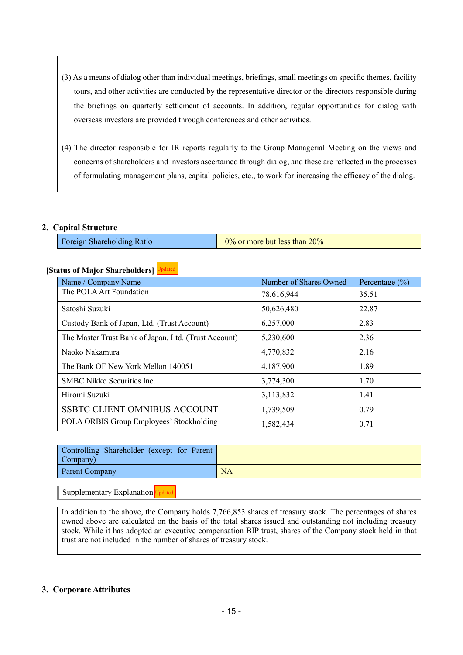- (3) As a means of dialog other than individual meetings, briefings, small meetings on specific themes, facility tours, and other activities are conducted by the representative director or the directors responsible during the briefings on quarterly settlement of accounts. In addition, regular opportunities for dialog with overseas investors are provided through conferences and other activities.
- (4) The director responsible for IR reports regularly to the Group Managerial Meeting on the views and concerns of shareholders and investors ascertained through dialog, and these are reflected in the processes of formulating management plans, capital policies, etc., to work for increasing the efficacy of the dialog.

#### **2. Capital Structure**

Foreign Shareholding Ratio 10% or more but less than 20%

#### **[Status of Major Shareholders]** Updated

| Name / Company Name                                  | Number of Shares Owned | Percentage $(\% )$ |
|------------------------------------------------------|------------------------|--------------------|
| The POLA Art Foundation                              | 78,616,944             | 35.51              |
| Satoshi Suzuki                                       | 50,626,480             | 22.87              |
| Custody Bank of Japan, Ltd. (Trust Account)          | 6,257,000              | 2.83               |
| The Master Trust Bank of Japan, Ltd. (Trust Account) | 5,230,600              | 2.36               |
| Naoko Nakamura                                       | 4,770,832              | 2.16               |
| The Bank OF New York Mellon 140051                   | 4,187,900              | 1.89               |
| <b>SMBC Nikko Securities Inc.</b>                    | 3,774,300              | 1.70               |
| Hiromi Suzuki                                        | 3,113,832              | 1.41               |
| <b>SSBTC CLIENT OMNIBUS ACCOUNT</b>                  | 1,739,509              | 0.79               |
| POLA ORBIS Group Employees' Stockholding             | 1,582,434              | 0.71               |

| Controlling Shareholder (except for Parent<br>Company) |           |
|--------------------------------------------------------|-----------|
| Parent Company                                         | <b>NA</b> |

Supplementary Explanation Updated

In addition to the above, the Company holds 7,766,853 shares of treasury stock. The percentages of shares owned above are calculated on the basis of the total shares issued and outstanding not including treasury stock. While it has adopted an executive compensation BIP trust, shares of the Company stock held in that trust are not included in the number of shares of treasury stock.

#### **3. Corporate Attributes**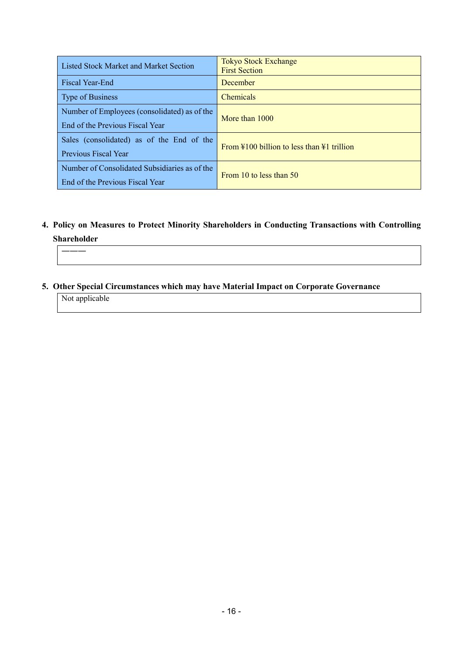| Listed Stock Market and Market Section                                           | <b>Tokyo Stock Exchange</b><br><b>First Section</b>                   |
|----------------------------------------------------------------------------------|-----------------------------------------------------------------------|
| <b>Fiscal Year-End</b>                                                           | December                                                              |
| Type of Business                                                                 | <b>Chemicals</b>                                                      |
| Number of Employees (consolidated) as of the                                     | More than 1000                                                        |
| End of the Previous Fiscal Year                                                  |                                                                       |
| Sales (consolidated) as of the End of the<br>Previous Fiscal Year                | From $\frac{100}{100}$ billion to less than $\frac{11}{100}$ trillion |
| Number of Consolidated Subsidiaries as of the<br>End of the Previous Fiscal Year | From 10 to less than 50                                               |

**4. Policy on Measures to Protect Minority Shareholders in Conducting Transactions with Controlling Shareholder** 

#### ―――

**5. Other Special Circumstances which may have Material Impact on Corporate Governance** 

Not applicable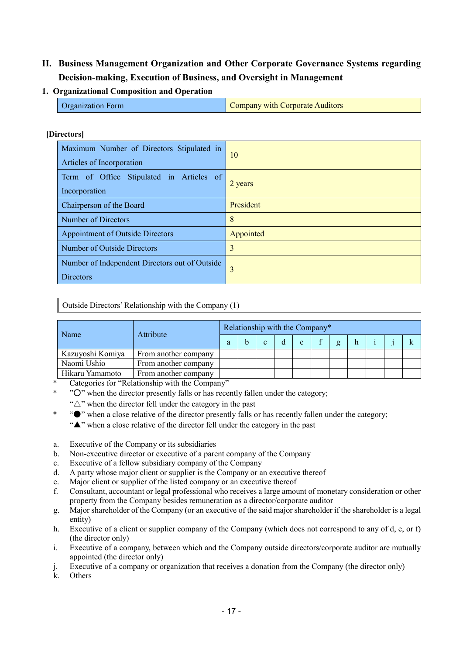## **II. Business Management Organization and Other Corporate Governance Systems regarding Decision-making, Execution of Business, and Oversight in Management**

## **1. Organizational Composition and Operation**

| <b>Organization Form</b> | Company with Corporate Auditors |
|--------------------------|---------------------------------|
|--------------------------|---------------------------------|

#### **[Directors]**

| Maximum Number of Directors Stipulated in<br>Articles of Incorporation | 10        |
|------------------------------------------------------------------------|-----------|
| Term of Office Stipulated in Articles of<br>Incorporation              | 2 years   |
| Chairperson of the Board                                               | President |
| Number of Directors                                                    | 8         |
| <b>Appointment of Outside Directors</b>                                | Appointed |
| Number of Outside Directors                                            | 3         |
| Number of Independent Directors out of Outside<br><b>Directors</b>     | 3         |

Outside Directors' Relationship with the Company (1)

| Name             |                      | Relationship with the Company* |  |  |   |   |  |              |    |  |  |
|------------------|----------------------|--------------------------------|--|--|---|---|--|--------------|----|--|--|
|                  | Attribute            | a                              |  |  | d | e |  | $\mathbf{g}$ | h. |  |  |
| Kazuyoshi Komiya | From another company |                                |  |  |   |   |  |              |    |  |  |
| Naomi Ushio      | From another company |                                |  |  |   |   |  |              |    |  |  |
| Hikaru Yamamoto  | From another company |                                |  |  |   |   |  |              |    |  |  |

Categories for "Relationship with the Company"

"O" when the director presently falls or has recently fallen under the category;

" $\triangle$ " when the director fell under the category in the past

\* "●" when a close relative of the director presently falls or has recently fallen under the category;

"▲" when a close relative of the director fell under the category in the past

- a. Executive of the Company or its subsidiaries
- b. Non-executive director or executive of a parent company of the Company
- c. Executive of a fellow subsidiary company of the Company
- d. A party whose major client or supplier is the Company or an executive thereof
- e. Major client or supplier of the listed company or an executive thereof
- f. Consultant, accountant or legal professional who receives a large amount of monetary consideration or other property from the Company besides remuneration as a director/corporate auditor
- g. Major shareholder of the Company (or an executive of the said major shareholder if the shareholder is a legal entity)
- h. Executive of a client or supplier company of the Company (which does not correspond to any of d, e, or f) (the director only)
- i. Executive of a company, between which and the Company outside directors/corporate auditor are mutually appointed (the director only)
- j. Executive of a company or organization that receives a donation from the Company (the director only)
- k. Others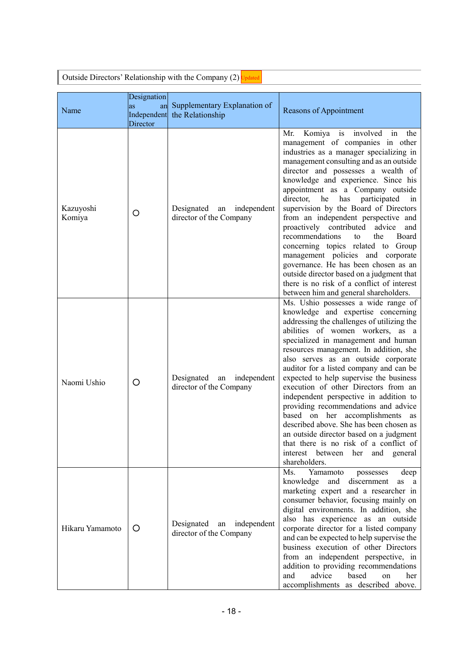| Outside Directors' Relationship with the Company $(2)$ Updated |                                              |                                                         |                                                                                                                                                                                                                                                                                                                                                                                                                                                                                                                                                                                                                                                                                                                                                          |  |  |  |
|----------------------------------------------------------------|----------------------------------------------|---------------------------------------------------------|----------------------------------------------------------------------------------------------------------------------------------------------------------------------------------------------------------------------------------------------------------------------------------------------------------------------------------------------------------------------------------------------------------------------------------------------------------------------------------------------------------------------------------------------------------------------------------------------------------------------------------------------------------------------------------------------------------------------------------------------------------|--|--|--|
| Name                                                           | Designation<br>as<br>Independent<br>Director | an Supplementary Explanation of<br>the Relationship     | Reasons of Appointment                                                                                                                                                                                                                                                                                                                                                                                                                                                                                                                                                                                                                                                                                                                                   |  |  |  |
| Kazuyoshi<br>Komiya                                            | O                                            | Designated an<br>independent<br>director of the Company | Komiya is<br>involved<br>Mr.<br>in<br>the<br>management of companies in other<br>industries as a manager specializing in<br>management consulting and as an outside<br>director and possesses a wealth of<br>knowledge and experience. Since his<br>appointment as a Company outside<br>director, he has participated<br>$\sin$<br>supervision by the Board of Directors<br>from an independent perspective and<br>proactively contributed advice<br>and<br>recommendations<br>the<br>Board<br>to<br>concerning topics related to Group<br>management policies and corporate<br>governance. He has been chosen as an<br>outside director based on a judgment that<br>there is no risk of a conflict of interest<br>between him and general shareholders. |  |  |  |
| Naomi Ushio                                                    | O                                            | Designated an independent<br>director of the Company    | Ms. Ushio possesses a wide range of<br>knowledge and expertise concerning<br>addressing the challenges of utilizing the<br>abilities of women workers, as a<br>specialized in management and human<br>resources management. In addition, she<br>also serves as an outside corporate<br>auditor for a listed company and can be<br>expected to help supervise the business<br>execution of other Directors from an<br>independent perspective in addition to<br>providing recommendations and advice<br>based on her accomplishments as<br>described above. She has been chosen as<br>an outside director based on a judgment<br>that there is no risk of a conflict of<br>interest between her and general<br>shareholders.                              |  |  |  |
| Hikaru Yamamoto                                                | O                                            | Designated an<br>independent<br>director of the Company | Yamamoto<br>Ms.<br>possesses<br>deep<br>knowledge and<br>discernment<br>as a<br>marketing expert and a researcher in<br>consumer behavior, focusing mainly on<br>digital environments. In addition, she<br>also has experience as an outside<br>corporate director for a listed company<br>and can be expected to help supervise the<br>business execution of other Directors<br>from an independent perspective, in<br>addition to providing recommendations<br>advice<br>based<br>and<br>on<br>her<br>accomplishments as described above.                                                                                                                                                                                                              |  |  |  |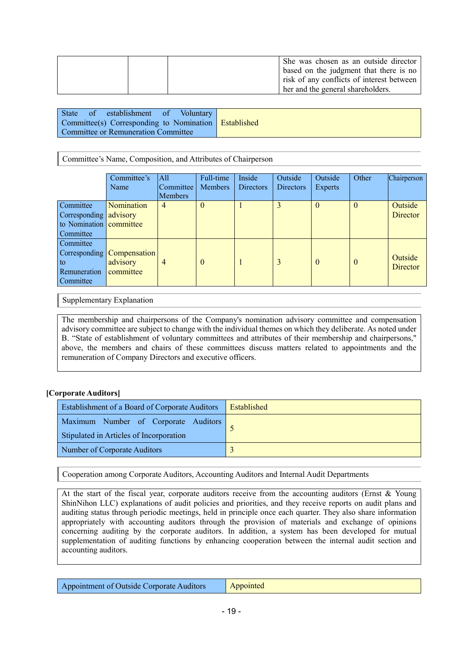| She was chosen as an outside director<br>based on the judgment that there is no<br>risk of any conflicts of interest between |
|------------------------------------------------------------------------------------------------------------------------------|
| her and the general shareholders.                                                                                            |

| State of establishment of Voluntary                    |  |
|--------------------------------------------------------|--|
| Committee(s) Corresponding to Nomination   Established |  |
| Committee or Remuneration Committee                    |  |

Committee's Name, Composition, and Attributes of Chairperson

|                                                                                    | Committee's<br>Name                                   | All<br>Committee<br><b>Members</b> | Full-time<br><b>Members</b> | Inside<br><b>Directors</b> | Outside<br><b>Directors</b> | Outside<br>Experts | Other    | Chairperson         |
|------------------------------------------------------------------------------------|-------------------------------------------------------|------------------------------------|-----------------------------|----------------------------|-----------------------------|--------------------|----------|---------------------|
| Committee<br>Corresponding advisory<br>to Nomination <b>committee</b><br>Committee | Nomination                                            | $\overline{4}$                     | $\theta$                    |                            | 3                           | $\theta$           | $\theta$ | Outside<br>Director |
| Committee<br>to<br>Remuneration<br>Committee                                       | Corresponding   Compensation<br>advisory<br>committee | $\overline{4}$                     | $\theta$                    |                            | 3                           | $\theta$           | $\theta$ | Outside<br>Director |

Supplementary Explanation

The membership and chairpersons of the Company's nomination advisory committee and compensation advisory committee are subject to change with the individual themes on which they deliberate. As noted under B. "State of establishment of voluntary committees and attributes of their membership and chairpersons," above, the members and chairs of these committees discuss matters related to appointments and the remuneration of Company Directors and executive officers.

## **[Corporate Auditors]**

| <b>Establishment of a Board of Corporate Auditors</b>                           | Established |
|---------------------------------------------------------------------------------|-------------|
| Maximum Number of Corporate Auditors<br>Stipulated in Articles of Incorporation |             |
| Number of Corporate Auditors                                                    |             |

Cooperation among Corporate Auditors, Accounting Auditors and Internal Audit Departments

At the start of the fiscal year, corporate auditors receive from the accounting auditors (Ernst & Young ShinNihon LLC) explanations of audit policies and priorities, and they receive reports on audit plans and auditing status through periodic meetings, held in principle once each quarter. They also share information appropriately with accounting auditors through the provision of materials and exchange of opinions concerning auditing by the corporate auditors. In addition, a system has been developed for mutual supplementation of auditing functions by enhancing cooperation between the internal audit section and accounting auditors.

| Appointment of Outside Corporate Auditors | Appointed |
|-------------------------------------------|-----------|
|-------------------------------------------|-----------|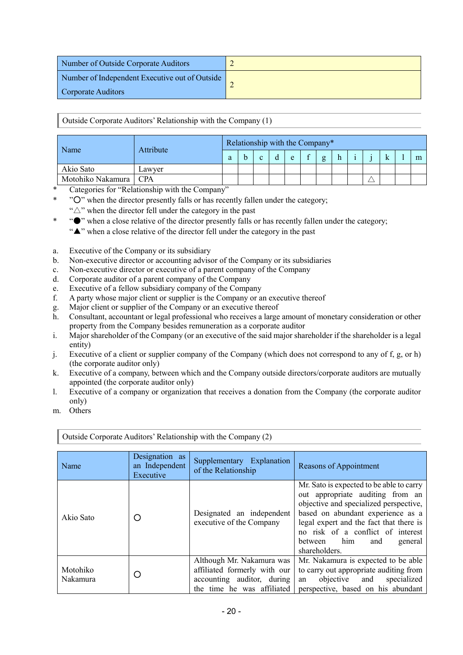| Number of Outside Corporate Auditors           |  |
|------------------------------------------------|--|
| Number of Independent Executive out of Outside |  |
| Corporate Auditors                             |  |

Outside Corporate Auditors' Relationship with the Company (1)

| Name                    | Attribute | Relationship with the Company* |  |  |  |   |  |   |   |  |  |   |
|-------------------------|-----------|--------------------------------|--|--|--|---|--|---|---|--|--|---|
|                         |           | a                              |  |  |  | e |  | g | h |  |  | m |
| Akio Sato               | Lawver    |                                |  |  |  |   |  |   |   |  |  |   |
| Motohiko Nakamura   CPA |           |                                |  |  |  |   |  |   |   |  |  |   |

Categories for "Relationship with the Company"

- "O" when the director presently falls or has recently fallen under the category;
	- " $\triangle$ " when the director fell under the category in the past
- \* "●" when a close relative of the director presently falls or has recently fallen under the category;
	- "▲" when a close relative of the director fell under the category in the past
- a. Executive of the Company or its subsidiary
- b. Non-executive director or accounting advisor of the Company or its subsidiaries
- c. Non-executive director or executive of a parent company of the Company
- d. Corporate auditor of a parent company of the Company
- e. Executive of a fellow subsidiary company of the Company
- f. A party whose major client or supplier is the Company or an executive thereof
- g. Major client or supplier of the Company or an executive thereof
- h. Consultant, accountant or legal professional who receives a large amount of monetary consideration or other property from the Company besides remuneration as a corporate auditor
- i. Major shareholder of the Company (or an executive of the said major shareholder if the shareholder is a legal entity)
- j. Executive of a client or supplier company of the Company (which does not correspond to any of f, g, or h) (the corporate auditor only)
- k. Executive of a company, between which and the Company outside directors/corporate auditors are mutually appointed (the corporate auditor only)
- l. Executive of a company or organization that receives a donation from the Company (the corporate auditor only)
- m. Others

| Name                 | Designation as<br>an Independent | Supplementary Explanation<br>of the Relationship                                                                      | Reasons of Appointment                                                                                                                                                                                                                                                                        |
|----------------------|----------------------------------|-----------------------------------------------------------------------------------------------------------------------|-----------------------------------------------------------------------------------------------------------------------------------------------------------------------------------------------------------------------------------------------------------------------------------------------|
|                      | Executive                        |                                                                                                                       |                                                                                                                                                                                                                                                                                               |
| Akio Sato            | O                                | Designated an independent<br>executive of the Company                                                                 | Mr. Sato is expected to be able to carry<br>out appropriate auditing from an<br>objective and specialized perspective,<br>based on abundant experience as a<br>legal expert and the fact that there is<br>no risk of a conflict of interest<br>between him<br>and<br>general<br>shareholders. |
| Motohiko<br>Nakamura | O                                | Although Mr. Nakamura was<br>affiliated formerly with our<br>accounting auditor, during<br>the time he was affiliated | Mr. Nakamura is expected to be able<br>to carry out appropriate auditing from<br>objective and<br>specialized<br>an<br>perspective, based on his abundant                                                                                                                                     |

Outside Corporate Auditors'Relationship with the Company (2)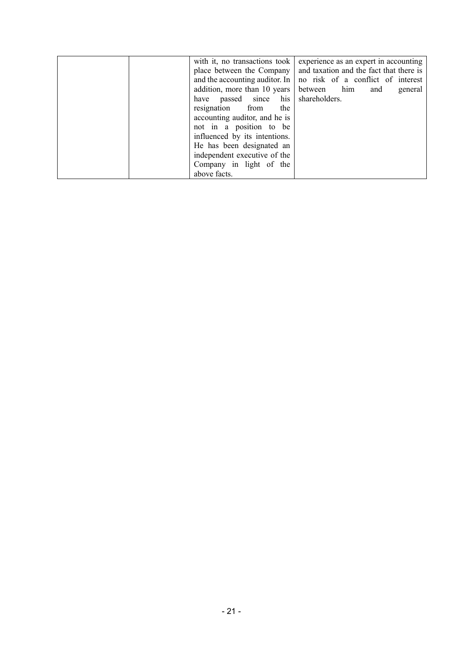| with it, no transactions took<br>place between the Company<br>and the accounting auditor. In<br>addition, more than 10 years<br>have passed since his shareholders.<br>resignation from<br>the<br>accounting auditor, and he is<br>not in a position to be<br>influenced by its intentions.<br>He has been designated an<br>independent executive of the | experience as an expert in accounting<br>and taxation and the fact that there is<br>no risk of a conflict of interest<br>between him<br>and<br>general |
|----------------------------------------------------------------------------------------------------------------------------------------------------------------------------------------------------------------------------------------------------------------------------------------------------------------------------------------------------------|--------------------------------------------------------------------------------------------------------------------------------------------------------|
| Company in light of the<br>above facts.                                                                                                                                                                                                                                                                                                                  |                                                                                                                                                        |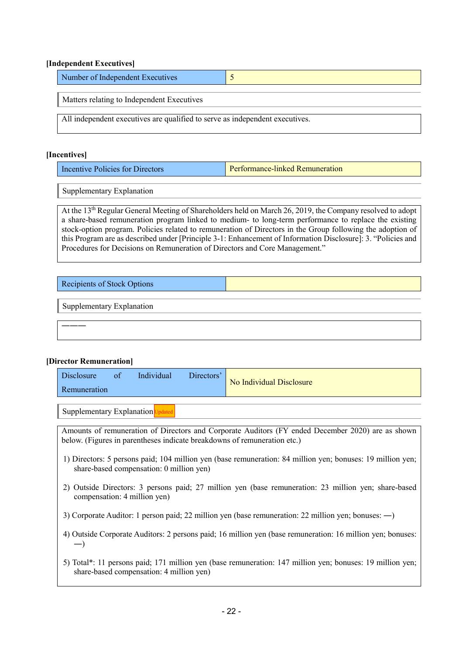#### **[Independent Executives]**

| Number of Independent Executives                                             |  |  |  |  |  |
|------------------------------------------------------------------------------|--|--|--|--|--|
| Matters relating to Independent Executives                                   |  |  |  |  |  |
| All independent executives are qualified to serve as independent executives. |  |  |  |  |  |

#### **[Incentives]**

| Incentive Policies for Directors | Performance-linked Remuneration |
|----------------------------------|---------------------------------|
|----------------------------------|---------------------------------|

Supplementary Explanation

At the 13th Regular General Meeting of Shareholders held on March 26, 2019, the Company resolved to adopt a share-based remuneration program linked to medium- to long-term performance to replace the existing stock-option program. Policies related to remuneration of Directors in the Group following the adoption of this Program are as described under [Principle 3-1: Enhancement of Information Disclosure]: 3. "Policies and Procedures for Decisions on Remuneration of Directors and Core Management."

| <b>Recipients of Stock Options</b> |  |
|------------------------------------|--|
| Supplementary Explanation          |  |
|                                    |  |

#### **[Director Remuneration]**

| <b>Disclosure</b> | -OT | Individual | Directors' | No Individual Disclosure |
|-------------------|-----|------------|------------|--------------------------|
| Remuneration      |     |            |            |                          |

Supplementary Explanation Updated

Amounts of remuneration of Directors and Corporate Auditors (FY ended December 2020) are as shown below. (Figures in parentheses indicate breakdowns of remuneration etc.)

- 1) Directors: 5 persons paid; 104 million yen (base remuneration: 84 million yen; bonuses: 19 million yen; share-based compensation: 0 million yen)
- 2) Outside Directors: 3 persons paid; 27 million yen (base remuneration: 23 million yen; share-based compensation: 4 million yen)
- 3) Corporate Auditor: 1 person paid; 22 million yen (base remuneration: 22 million yen; bonuses: ―)
- 4) Outside Corporate Auditors: 2 persons paid; 16 million yen (base remuneration: 16 million yen; bonuses: ―)
- 5) Total\*: 11 persons paid; 171 million yen (base remuneration: 147 million yen; bonuses: 19 million yen; share-based compensation: 4 million yen)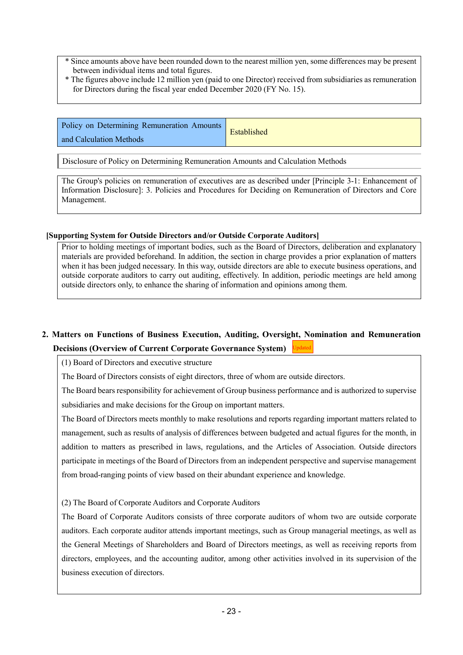\* Since amounts above have been rounded down to the nearest million yen, some differences may be present between individual items and total figures.

\* The figures above include 12 million yen (paid to one Director) received from subsidiaries as remuneration for Directors during the fiscal year ended December 2020 (FY No. 15).

| Policy on Determining Remuneration Amounts | Established |
|--------------------------------------------|-------------|
| and Calculation Methods                    |             |

Disclosure of Policy on Determining Remuneration Amounts and Calculation Methods

The Group's policies on remuneration of executives are as described under [Principle 3-1: Enhancement of Information Disclosure]: 3. Policies and Procedures for Deciding on Remuneration of Directors and Core Management.

#### **[Supporting System for Outside Directors and/or Outside Corporate Auditors]**

Prior to holding meetings of important bodies, such as the Board of Directors, deliberation and explanatory materials are provided beforehand. In addition, the section in charge provides a prior explanation of matters when it has been judged necessary. In this way, outside directors are able to execute business operations, and outside corporate auditors to carry out auditing, effectively. In addition, periodic meetings are held among outside directors only, to enhance the sharing of information and opinions among them.

#### **2. Matters on Functions of Business Execution, Auditing, Oversight, Nomination and Remuneration Decisions (Overview of Current Corporate Governance System)** Updated

(1) Board of Directors and executive structure

The Board of Directors consists of eight directors, three of whom are outside directors.

The Board bears responsibility for achievement of Group business performance and is authorized to supervise subsidiaries and make decisions for the Group on important matters.

The Board of Directors meets monthly to make resolutions and reports regarding important matters related to management, such as results of analysis of differences between budgeted and actual figures for the month, in addition to matters as prescribed in laws, regulations, and the Articles of Association. Outside directors participate in meetings of the Board of Directors from an independent perspective and supervise management from broad-ranging points of view based on their abundant experience and knowledge.

(2) The Board of Corporate Auditors and Corporate Auditors

The Board of Corporate Auditors consists of three corporate auditors of whom two are outside corporate auditors. Each corporate auditor attends important meetings, such as Group managerial meetings, as well as the General Meetings of Shareholders and Board of Directors meetings, as well as receiving reports from directors, employees, and the accounting auditor, among other activities involved in its supervision of the business execution of directors.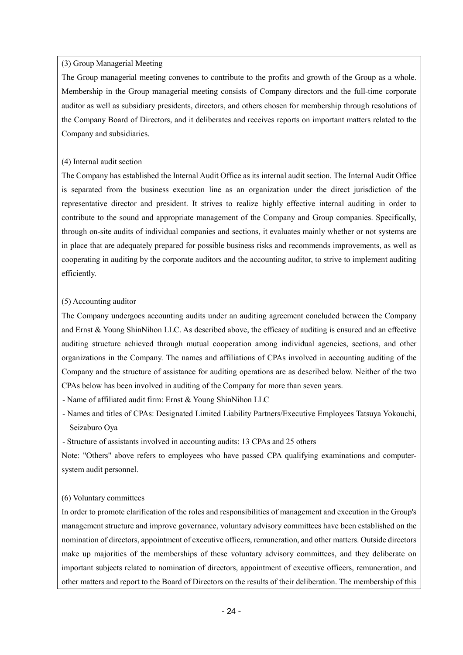#### (3) Group Managerial Meeting

The Group managerial meeting convenes to contribute to the profits and growth of the Group as a whole. Membership in the Group managerial meeting consists of Company directors and the full-time corporate auditor as well as subsidiary presidents, directors, and others chosen for membership through resolutions of the Company Board of Directors, and it deliberates and receives reports on important matters related to the Company and subsidiaries.

#### (4) Internal audit section

The Company has established the Internal Audit Office as its internal audit section. The Internal Audit Office is separated from the business execution line as an organization under the direct jurisdiction of the representative director and president. It strives to realize highly effective internal auditing in order to contribute to the sound and appropriate management of the Company and Group companies. Specifically, through on-site audits of individual companies and sections, it evaluates mainly whether or not systems are in place that are adequately prepared for possible business risks and recommends improvements, as well as cooperating in auditing by the corporate auditors and the accounting auditor, to strive to implement auditing efficiently.

#### (5) Accounting auditor

The Company undergoes accounting audits under an auditing agreement concluded between the Company and Ernst & Young ShinNihon LLC. As described above, the efficacy of auditing is ensured and an effective auditing structure achieved through mutual cooperation among individual agencies, sections, and other organizations in the Company. The names and affiliations of CPAs involved in accounting auditing of the Company and the structure of assistance for auditing operations are as described below. Neither of the two CPAs below has been involved in auditing of the Company for more than seven years.

- Name of affiliated audit firm: Ernst & Young ShinNihon LLC

- Names and titles of CPAs: Designated Limited Liability Partners/Executive Employees Tatsuya Yokouchi, Seizaburo Oya

- Structure of assistants involved in accounting audits: 13 CPAs and 25 others

Note: "Others" above refers to employees who have passed CPA qualifying examinations and computersystem audit personnel.

#### (6) Voluntary committees

In order to promote clarification of the roles and responsibilities of management and execution in the Group's management structure and improve governance, voluntary advisory committees have been established on the nomination of directors, appointment of executive officers, remuneration, and other matters. Outside directors make up majorities of the memberships of these voluntary advisory committees, and they deliberate on important subjects related to nomination of directors, appointment of executive officers, remuneration, and other matters and report to the Board of Directors on the results of their deliberation. The membership of this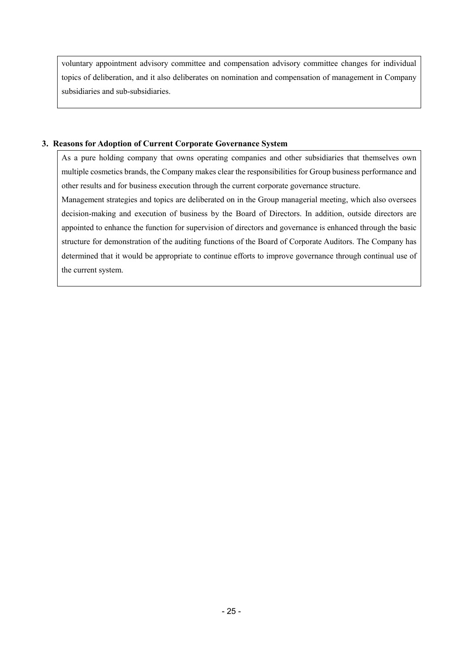voluntary appointment advisory committee and compensation advisory committee changes for individual topics of deliberation, and it also deliberates on nomination and compensation of management in Company subsidiaries and sub-subsidiaries.

## **3. Reasons for Adoption of Current Corporate Governance System**

As a pure holding company that owns operating companies and other subsidiaries that themselves own multiple cosmetics brands, the Company makes clear the responsibilities for Group business performance and other results and for business execution through the current corporate governance structure.

Management strategies and topics are deliberated on in the Group managerial meeting, which also oversees decision-making and execution of business by the Board of Directors. In addition, outside directors are appointed to enhance the function for supervision of directors and governance is enhanced through the basic structure for demonstration of the auditing functions of the Board of Corporate Auditors. The Company has determined that it would be appropriate to continue efforts to improve governance through continual use of the current system.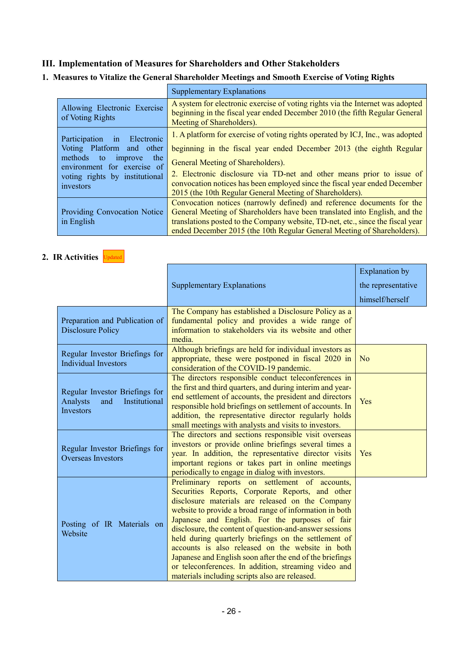## **III. Implementation of Measures for Shareholders and Other Stakeholders**

## **1. Measures to Vitalize the General Shareholder Meetings and Smooth Exercise of Voting Rights**

|                                                                                                  | <b>Supplementary Explanations</b>                                                                                                                                                          |
|--------------------------------------------------------------------------------------------------|--------------------------------------------------------------------------------------------------------------------------------------------------------------------------------------------|
| Allowing Electronic Exercise<br>of Voting Rights                                                 | A system for electronic exercise of voting rights via the Internet was adopted<br>beginning in the fiscal year ended December 2010 (the fifth Regular General<br>Meeting of Shareholders). |
| Electronic<br>Participation<br>in                                                                | 1. A platform for exercise of voting rights operated by ICJ, Inc., was adopted                                                                                                             |
| Voting Platform and other                                                                        | beginning in the fiscal year ended December 2013 (the eighth Regular                                                                                                                       |
| methods<br>the<br>improve<br>to<br>environment for exercise of<br>voting rights by institutional | General Meeting of Shareholders).                                                                                                                                                          |
|                                                                                                  | 2. Electronic disclosure via TD-net and other means prior to issue of                                                                                                                      |
| investors                                                                                        | convocation notices has been employed since the fiscal year ended December                                                                                                                 |
|                                                                                                  | 2015 (the 10th Regular General Meeting of Shareholders).                                                                                                                                   |
|                                                                                                  | Convocation notices (narrowly defined) and reference documents for the                                                                                                                     |
| <b>Providing Convocation Notice</b>                                                              | General Meeting of Shareholders have been translated into English, and the                                                                                                                 |
| in English                                                                                       | translations posted to the Company website, TD-net, etc., since the fiscal year                                                                                                            |
|                                                                                                  | ended December 2015 (the 10th Regular General Meeting of Shareholders).                                                                                                                    |

#### **2. IR Activities** Updated

|                                                                                 |                                                                                                                                                                                                                                                                                                                                                                                                                                                                                                                                                                                                                  | <b>Explanation</b> by |
|---------------------------------------------------------------------------------|------------------------------------------------------------------------------------------------------------------------------------------------------------------------------------------------------------------------------------------------------------------------------------------------------------------------------------------------------------------------------------------------------------------------------------------------------------------------------------------------------------------------------------------------------------------------------------------------------------------|-----------------------|
|                                                                                 | <b>Supplementary Explanations</b>                                                                                                                                                                                                                                                                                                                                                                                                                                                                                                                                                                                | the representative    |
|                                                                                 |                                                                                                                                                                                                                                                                                                                                                                                                                                                                                                                                                                                                                  | himself/herself       |
| Preparation and Publication of<br><b>Disclosure Policy</b>                      | The Company has established a Disclosure Policy as a<br>fundamental policy and provides a wide range of<br>information to stakeholders via its website and other<br>media.                                                                                                                                                                                                                                                                                                                                                                                                                                       |                       |
| Regular Investor Briefings for<br><b>Individual Investors</b>                   | Although briefings are held for individual investors as<br>appropriate, these were postponed in fiscal 2020 in<br>consideration of the COVID-19 pandemic.                                                                                                                                                                                                                                                                                                                                                                                                                                                        | N <sub>o</sub>        |
| Regular Investor Briefings for<br>Analysts<br>and<br>Institutional<br>Investors | The directors responsible conduct teleconferences in<br>the first and third quarters, and during interim and year-<br>end settlement of accounts, the president and directors<br>responsible hold briefings on settlement of accounts. In<br>addition, the representative director regularly holds<br>small meetings with analysts and visits to investors.                                                                                                                                                                                                                                                      | Yes                   |
| Regular Investor Briefings for<br><b>Overseas Investors</b>                     | The directors and sections responsible visit overseas<br>investors or provide online briefings several times a<br>year. In addition, the representative director visits<br>important regions or takes part in online meetings<br>periodically to engage in dialog with investors.                                                                                                                                                                                                                                                                                                                                | Yes                   |
| Posting of IR Materials on<br>Website                                           | Preliminary reports on settlement of accounts,<br>Securities Reports, Corporate Reports, and other<br>disclosure materials are released on the Company<br>website to provide a broad range of information in both<br>Japanese and English. For the purposes of fair<br>disclosure, the content of question-and-answer sessions<br>held during quarterly briefings on the settlement of<br>accounts is also released on the website in both<br>Japanese and English soon after the end of the briefings<br>or teleconferences. In addition, streaming video and<br>materials including scripts also are released. |                       |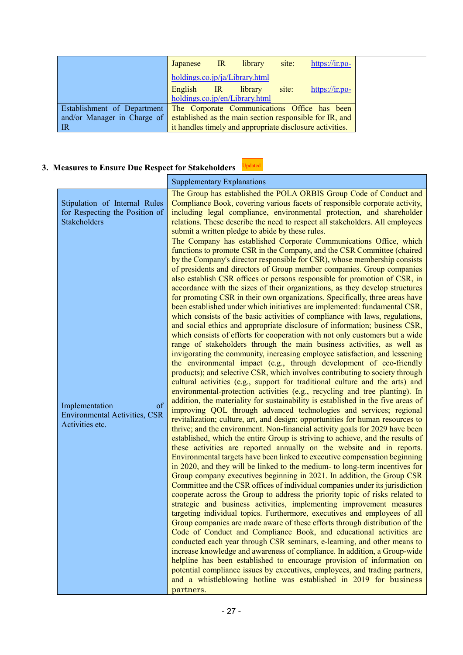|                                                                                     |                                | Japanese IR library site:      | https://ir.po-                                           |
|-------------------------------------------------------------------------------------|--------------------------------|--------------------------------|----------------------------------------------------------|
|                                                                                     | holdings.co.jp/ja/Library.html |                                |                                                          |
|                                                                                     |                                | English IR library site:       | https://ir.po-                                           |
|                                                                                     |                                | holdings.co.jp/en/Library.html |                                                          |
| Establishment of Department The Corporate Communications Office has been            |                                |                                |                                                          |
| and/or Manager in Charge of established as the main section responsible for IR, and |                                |                                |                                                          |
| IR                                                                                  |                                |                                | it handles timely and appropriate disclosure activities. |

# **3. Measures to Ensure Due Respect for Stakeholders**

Updated

|                                                                                 | <b>Supplementary Explanations</b>                                                                                                                                                                                                                                                                                                                                                                                                                                                                                                                                                                                                                                                                                                                                                                                                                                                                                                                                                                                                                                                                                                                                                                                                                                                                                                                                                                                                                                                                                                                                                                                                                                                                                                                                                                                                                                                                                                                                                                                                                                                                                                                                                                                                                                                                                                                                                                                                                                                                                                                                                                                                                                                                                                                                                                                                                                                                                                                                          |
|---------------------------------------------------------------------------------|----------------------------------------------------------------------------------------------------------------------------------------------------------------------------------------------------------------------------------------------------------------------------------------------------------------------------------------------------------------------------------------------------------------------------------------------------------------------------------------------------------------------------------------------------------------------------------------------------------------------------------------------------------------------------------------------------------------------------------------------------------------------------------------------------------------------------------------------------------------------------------------------------------------------------------------------------------------------------------------------------------------------------------------------------------------------------------------------------------------------------------------------------------------------------------------------------------------------------------------------------------------------------------------------------------------------------------------------------------------------------------------------------------------------------------------------------------------------------------------------------------------------------------------------------------------------------------------------------------------------------------------------------------------------------------------------------------------------------------------------------------------------------------------------------------------------------------------------------------------------------------------------------------------------------------------------------------------------------------------------------------------------------------------------------------------------------------------------------------------------------------------------------------------------------------------------------------------------------------------------------------------------------------------------------------------------------------------------------------------------------------------------------------------------------------------------------------------------------------------------------------------------------------------------------------------------------------------------------------------------------------------------------------------------------------------------------------------------------------------------------------------------------------------------------------------------------------------------------------------------------------------------------------------------------------------------------------------------------|
| Stipulation of Internal Rules<br>for Respecting the Position of<br>Stakeholders | The Group has established the POLA ORBIS Group Code of Conduct and<br>Compliance Book, covering various facets of responsible corporate activity,<br>including legal compliance, environmental protection, and shareholder<br>relations. These describe the need to respect all stakeholders. All employees<br>submit a written pledge to abide by these rules.                                                                                                                                                                                                                                                                                                                                                                                                                                                                                                                                                                                                                                                                                                                                                                                                                                                                                                                                                                                                                                                                                                                                                                                                                                                                                                                                                                                                                                                                                                                                                                                                                                                                                                                                                                                                                                                                                                                                                                                                                                                                                                                                                                                                                                                                                                                                                                                                                                                                                                                                                                                                            |
| of<br>Implementation<br><b>Environmental Activities, CSR</b><br>Activities etc. | The Company has established Corporate Communications Office, which<br>functions to promote CSR in the Company, and the CSR Committee (chaired<br>by the Company's director responsible for CSR), whose membership consists<br>of presidents and directors of Group member companies. Group companies<br>also establish CSR offices or persons responsible for promotion of CSR, in<br>accordance with the sizes of their organizations, as they develop structures<br>for promoting CSR in their own organizations. Specifically, three areas have<br>been established under which initiatives are implemented: fundamental CSR,<br>which consists of the basic activities of compliance with laws, regulations,<br>and social ethics and appropriate disclosure of information; business CSR,<br>which consists of efforts for cooperation with not only customers but a wide<br>range of stakeholders through the main business activities, as well as<br>invigorating the community, increasing employee satisfaction, and lessening<br>the environmental impact (e.g., through development of eco-friendly<br>products); and selective CSR, which involves contributing to society through<br>cultural activities (e.g., support for traditional culture and the arts) and<br>environmental-protection activities (e.g., recycling and tree planting). In<br>addition, the materiality for sustainability is established in the five areas of<br>improving QOL through advanced technologies and services; regional<br>revitalization; culture, art, and design; opportunities for human resources to<br>thrive; and the environment. Non-financial activity goals for 2029 have been<br>established, which the entire Group is striving to achieve, and the results of<br>these activities are reported annually on the website and in reports.<br>Environmental targets have been linked to executive compensation beginning<br>in 2020, and they will be linked to the medium- to long-term incentives for<br>Group company executives beginning in 2021. In addition, the Group CSR<br>Committee and the CSR offices of individual companies under its jurisdiction<br>cooperate across the Group to address the priority topic of risks related to<br>strategic and business activities, implementing improvement measures<br>targeting individual topics. Furthermore, executives and employees of all<br>Group companies are made aware of these efforts through distribution of the<br>Code of Conduct and Compliance Book, and educational activities are<br>conducted each year through CSR seminars, e-learning, and other means to<br>increase knowledge and awareness of compliance. In addition, a Group-wide<br>helpline has been established to encourage provision of information on<br>potential compliance issues by executives, employees, and trading partners,<br>and a whistleblowing hotline was established in 2019 for business<br>partners. |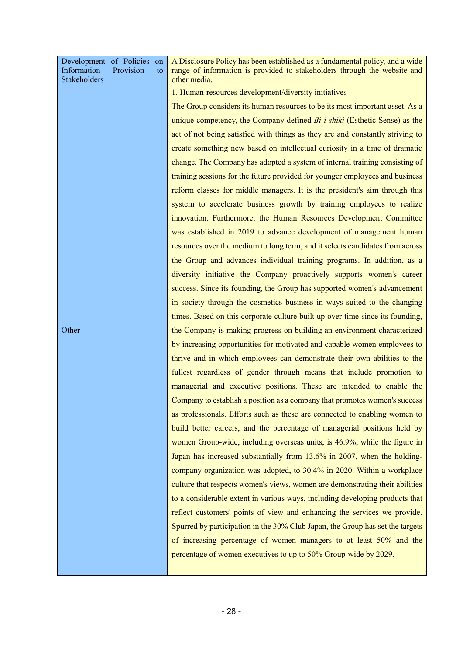| Development of Policies on<br>Information<br>Provision<br>to<br><b>Stakeholders</b> | A Disclosure Policy has been established as a fundamental policy, and a wide<br>range of information is provided to stakeholders through the website and<br>other media. |
|-------------------------------------------------------------------------------------|--------------------------------------------------------------------------------------------------------------------------------------------------------------------------|
|                                                                                     | 1. Human-resources development/diversity initiatives                                                                                                                     |
|                                                                                     | The Group considers its human resources to be its most important asset. As a                                                                                             |
|                                                                                     | unique competency, the Company defined Bi-i-shiki (Esthetic Sense) as the                                                                                                |
|                                                                                     | act of not being satisfied with things as they are and constantly striving to                                                                                            |
|                                                                                     | create something new based on intellectual curiosity in a time of dramatic                                                                                               |
|                                                                                     | change. The Company has adopted a system of internal training consisting of                                                                                              |
|                                                                                     | training sessions for the future provided for younger employees and business                                                                                             |
|                                                                                     | reform classes for middle managers. It is the president's aim through this                                                                                               |
|                                                                                     | system to accelerate business growth by training employees to realize                                                                                                    |
|                                                                                     | innovation. Furthermore, the Human Resources Development Committee                                                                                                       |
|                                                                                     | was established in 2019 to advance development of management human                                                                                                       |
|                                                                                     | resources over the medium to long term, and it selects candidates from across                                                                                            |
|                                                                                     | the Group and advances individual training programs. In addition, as a                                                                                                   |
|                                                                                     | diversity initiative the Company proactively supports women's career                                                                                                     |
|                                                                                     | success. Since its founding, the Group has supported women's advancement                                                                                                 |
|                                                                                     | in society through the cosmetics business in ways suited to the changing                                                                                                 |
|                                                                                     | times. Based on this corporate culture built up over time since its founding,                                                                                            |
| Other                                                                               | the Company is making progress on building an environment characterized                                                                                                  |
|                                                                                     | by increasing opportunities for motivated and capable women employees to                                                                                                 |
|                                                                                     | thrive and in which employees can demonstrate their own abilities to the                                                                                                 |
|                                                                                     | fullest regardless of gender through means that include promotion to                                                                                                     |
|                                                                                     | managerial and executive positions. These are intended to enable the                                                                                                     |
|                                                                                     | Company to establish a position as a company that promotes women's success                                                                                               |
|                                                                                     | as professionals. Efforts such as these are connected to enabling women to                                                                                               |
|                                                                                     | build better careers, and the percentage of managerial positions held by                                                                                                 |
|                                                                                     | women Group-wide, including overseas units, is 46.9%, while the figure in                                                                                                |
|                                                                                     | Japan has increased substantially from 13.6% in 2007, when the holding-                                                                                                  |
|                                                                                     | company organization was adopted, to 30.4% in 2020. Within a workplace                                                                                                   |
|                                                                                     | culture that respects women's views, women are demonstrating their abilities                                                                                             |
|                                                                                     | to a considerable extent in various ways, including developing products that                                                                                             |
|                                                                                     | reflect customers' points of view and enhancing the services we provide.                                                                                                 |
|                                                                                     | Spurred by participation in the 30% Club Japan, the Group has set the targets                                                                                            |
|                                                                                     | of increasing percentage of women managers to at least 50% and the                                                                                                       |
|                                                                                     | percentage of women executives to up to 50% Group-wide by 2029.                                                                                                          |
|                                                                                     |                                                                                                                                                                          |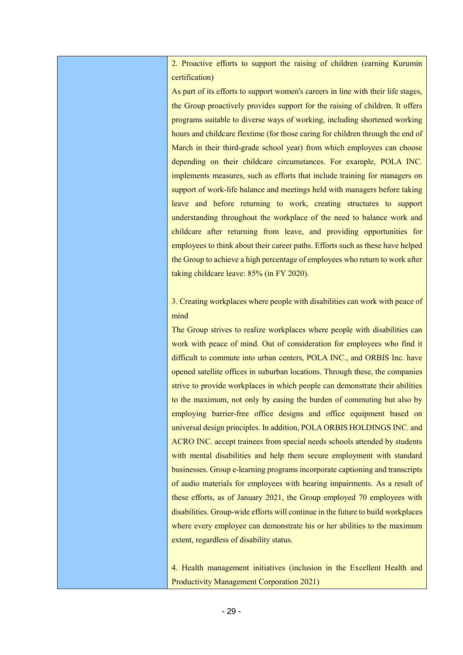2. Proactive efforts to support the raising of children (earning Kurumin certification)

As part of its efforts to support women's careers in line with their life stages, the Group proactively provides support for the raising of children. It offers programs suitable to diverse ways of working, including shortened working hours and childcare flextime (for those caring for children through the end of March in their third-grade school year) from which employees can choose depending on their childcare circumstances. For example, POLA INC. implements measures, such as efforts that include training for managers on support of work-life balance and meetings held with managers before taking leave and before returning to work, creating structures to support understanding throughout the workplace of the need to balance work and childcare after returning from leave, and providing opportunities for employees to think about their career paths. Efforts such as these have helped the Group to achieve a high percentage of employees who return to work after taking childcare leave: 85% (in FY 2020).

3. Creating workplaces where people with disabilities can work with peace of mind

The Group strives to realize workplaces where people with disabilities can work with peace of mind. Out of consideration for employees who find it difficult to commute into urban centers, POLA INC., and ORBIS Inc. have opened satellite offices in suburban locations. Through these, the companies strive to provide workplaces in which people can demonstrate their abilities to the maximum, not only by easing the burden of commuting but also by employing barrier-free office designs and office equipment based on universal design principles. In addition, POLA ORBIS HOLDINGS INC. and ACRO INC. accept trainees from special needs schools attended by students with mental disabilities and help them secure employment with standard businesses. Group e-learning programs incorporate captioning and transcripts of audio materials for employees with hearing impairments. As a result of these efforts, as of January 2021, the Group employed 70 employees with disabilities. Group-wide efforts will continue in the future to build workplaces where every employee can demonstrate his or her abilities to the maximum extent, regardless of disability status.

4. Health management initiatives (inclusion in the Excellent Health and Productivity Management Corporation 2021)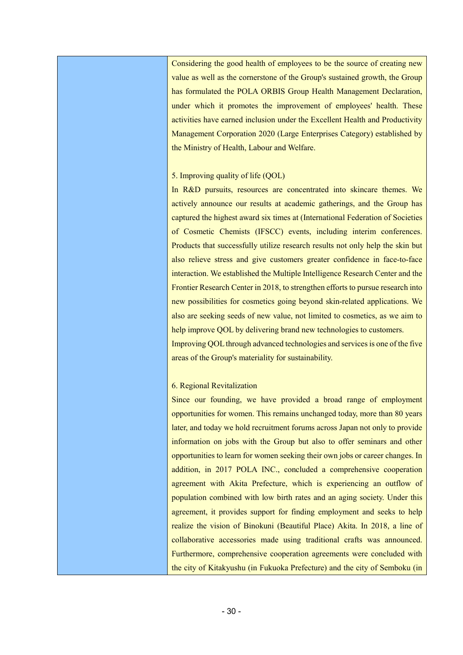Considering the good health of employees to be the source of creating new value as well as the cornerstone of the Group's sustained growth, the Group has formulated the POLA ORBIS Group Health Management Declaration, under which it promotes the improvement of employees' health. These activities have earned inclusion under the Excellent Health and Productivity Management Corporation 2020 (Large Enterprises Category) established by the Ministry of Health, Labour and Welfare.

#### 5. Improving quality of life (QOL)

In R&D pursuits, resources are concentrated into skincare themes. We actively announce our results at academic gatherings, and the Group has captured the highest award six times at (International Federation of Societies of Cosmetic Chemists (IFSCC) events, including interim conferences. Products that successfully utilize research results not only help the skin but also relieve stress and give customers greater confidence in face-to-face interaction. We established the Multiple Intelligence Research Center and the Frontier Research Center in 2018, to strengthen efforts to pursue research into new possibilities for cosmetics going beyond skin-related applications. We also are seeking seeds of new value, not limited to cosmetics, as we aim to help improve OOL by delivering brand new technologies to customers. Improving QOL through advanced technologies and services is one of the five areas of the Group's materiality for sustainability.

#### 6. Regional Revitalization

Since our founding, we have provided a broad range of employment opportunities for women. This remains unchanged today, more than 80 years later, and today we hold recruitment forums across Japan not only to provide information on jobs with the Group but also to offer seminars and other opportunities to learn for women seeking their own jobs or career changes. In addition, in 2017 POLA INC., concluded a comprehensive cooperation agreement with Akita Prefecture, which is experiencing an outflow of population combined with low birth rates and an aging society. Under this agreement, it provides support for finding employment and seeks to help realize the vision of Binokuni (Beautiful Place) Akita. In 2018, a line of collaborative accessories made using traditional crafts was announced. Furthermore, comprehensive cooperation agreements were concluded with the city of Kitakyushu (in Fukuoka Prefecture) and the city of Semboku (in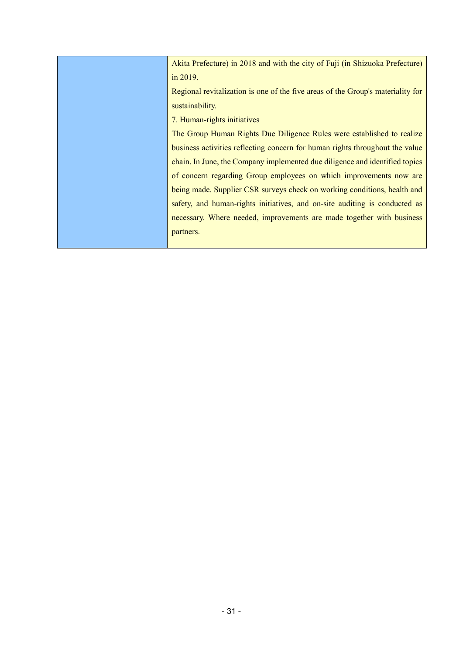| Akita Prefecture) in 2018 and with the city of Fuji (in Shizuoka Prefecture)    |
|---------------------------------------------------------------------------------|
| in 2019.                                                                        |
| Regional revitalization is one of the five areas of the Group's materiality for |
| sustainability.                                                                 |
| 7. Human-rights initiatives                                                     |
| The Group Human Rights Due Diligence Rules were established to realize          |
| business activities reflecting concern for human rights throughout the value    |
| chain. In June, the Company implemented due diligence and identified topics     |
| of concern regarding Group employees on which improvements now are              |
| being made. Supplier CSR surveys check on working conditions, health and        |
| safety, and human-rights initiatives, and on-site auditing is conducted as      |
| necessary. Where needed, improvements are made together with business           |
| partners.                                                                       |
|                                                                                 |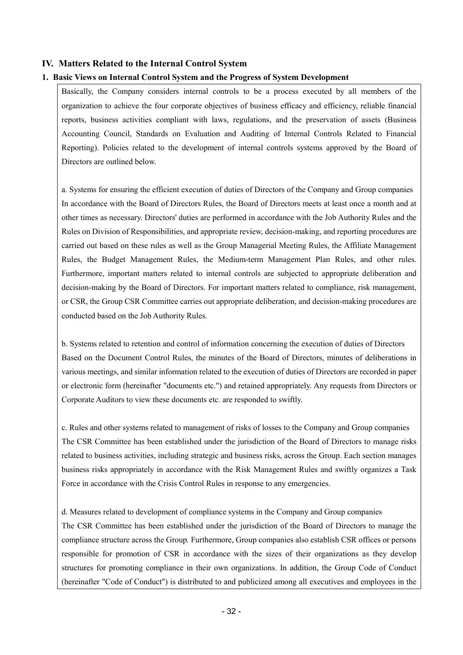#### **IV. Matters Related to the Internal Control System**

#### **1. Basic Views on Internal Control System and the Progress of System Development**

Basically, the Company considers internal controls to be a process executed by all members of the organization to achieve the four corporate objectives of business efficacy and efficiency, reliable financial reports, business activities compliant with laws, regulations, and the preservation of assets (Business Accounting Council, Standards on Evaluation and Auditing of Internal Controls Related to Financial Reporting). Policies related to the development of internal controls systems approved by the Board of Directors are outlined below.

a. Systems for ensuring the efficient execution of duties of Directors of the Company and Group companies In accordance with the Board of Directors Rules, the Board of Directors meets at least once a month and at other times as necessary. Directors' duties are performed in accordance with the Job Authority Rules and the Rules on Division of Responsibilities, and appropriate review, decision-making, and reporting procedures are carried out based on these rules as well as the Group Managerial Meeting Rules, the Affiliate Management Rules, the Budget Management Rules, the Medium-term Management Plan Rules, and other rules. Furthermore, important matters related to internal controls are subjected to appropriate deliberation and decision-making by the Board of Directors. For important matters related to compliance, risk management, or CSR, the Group CSR Committee carries out appropriate deliberation, and decision-making procedures are conducted based on the Job Authority Rules.

b. Systems related to retention and control of information concerning the execution of duties of Directors Based on the Document Control Rules, the minutes of the Board of Directors, minutes of deliberations in various meetings, and similar information related to the execution of duties of Directors are recorded in paper or electronic form (hereinafter "documents etc.") and retained appropriately. Any requests from Directors or Corporate Auditors to view these documents etc. are responded to swiftly.

c. Rules and other systems related to management of risks of losses to the Company and Group companies The CSR Committee has been established under the jurisdiction of the Board of Directors to manage risks related to business activities, including strategic and business risks, across the Group. Each section manages business risks appropriately in accordance with the Risk Management Rules and swiftly organizes a Task Force in accordance with the Crisis Control Rules in response to any emergencies.

d. Measures related to development of compliance systems in the Company and Group companies The CSR Committee has been established under the jurisdiction of the Board of Directors to manage the compliance structure across the Group. Furthermore, Group companies also establish CSR offices or persons responsible for promotion of CSR in accordance with the sizes of their organizations as they develop structures for promoting compliance in their own organizations. In addition, the Group Code of Conduct (hereinafter "Code of Conduct") is distributed to and publicized among all executives and employees in the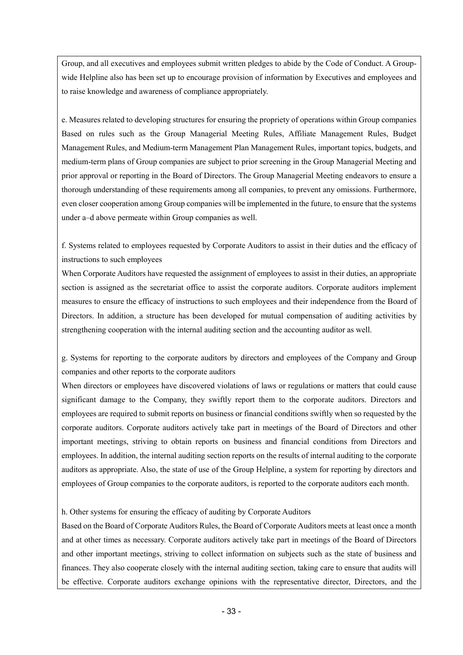Group, and all executives and employees submit written pledges to abide by the Code of Conduct. A Groupwide Helpline also has been set up to encourage provision of information by Executives and employees and to raise knowledge and awareness of compliance appropriately.

e. Measures related to developing structures for ensuring the propriety of operations within Group companies Based on rules such as the Group Managerial Meeting Rules, Affiliate Management Rules, Budget Management Rules, and Medium-term Management Plan Management Rules, important topics, budgets, and medium-term plans of Group companies are subject to prior screening in the Group Managerial Meeting and prior approval or reporting in the Board of Directors. The Group Managerial Meeting endeavors to ensure a thorough understanding of these requirements among all companies, to prevent any omissions. Furthermore, even closer cooperation among Group companies will be implemented in the future, to ensure that the systems under a–d above permeate within Group companies as well.

f. Systems related to employees requested by Corporate Auditors to assist in their duties and the efficacy of instructions to such employees

When Corporate Auditors have requested the assignment of employees to assist in their duties, an appropriate section is assigned as the secretariat office to assist the corporate auditors. Corporate auditors implement measures to ensure the efficacy of instructions to such employees and their independence from the Board of Directors. In addition, a structure has been developed for mutual compensation of auditing activities by strengthening cooperation with the internal auditing section and the accounting auditor as well.

g. Systems for reporting to the corporate auditors by directors and employees of the Company and Group companies and other reports to the corporate auditors

When directors or employees have discovered violations of laws or regulations or matters that could cause significant damage to the Company, they swiftly report them to the corporate auditors. Directors and employees are required to submit reports on business or financial conditions swiftly when so requested by the corporate auditors. Corporate auditors actively take part in meetings of the Board of Directors and other important meetings, striving to obtain reports on business and financial conditions from Directors and employees. In addition, the internal auditing section reports on the results of internal auditing to the corporate auditors as appropriate. Also, the state of use of the Group Helpline, a system for reporting by directors and employees of Group companies to the corporate auditors, is reported to the corporate auditors each month.

## h. Other systems for ensuring the efficacy of auditing by Corporate Auditors

Based on the Board of Corporate Auditors Rules, the Board of Corporate Auditors meets at least once a month and at other times as necessary. Corporate auditors actively take part in meetings of the Board of Directors and other important meetings, striving to collect information on subjects such as the state of business and finances. They also cooperate closely with the internal auditing section, taking care to ensure that audits will be effective. Corporate auditors exchange opinions with the representative director, Directors, and the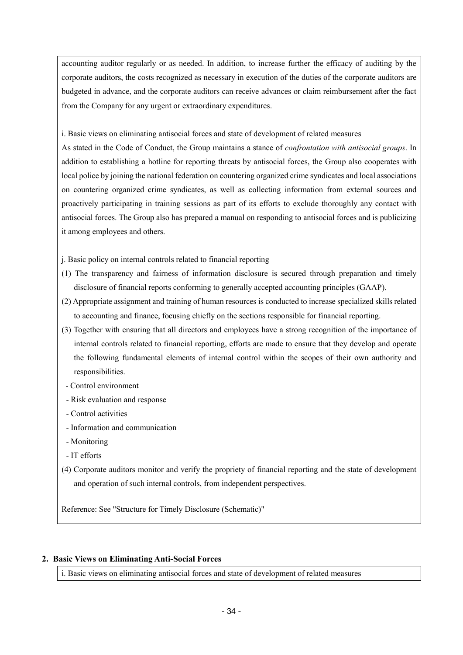accounting auditor regularly or as needed. In addition, to increase further the efficacy of auditing by the corporate auditors, the costs recognized as necessary in execution of the duties of the corporate auditors are budgeted in advance, and the corporate auditors can receive advances or claim reimbursement after the fact from the Company for any urgent or extraordinary expenditures.

i. Basic views on eliminating antisocial forces and state of development of related measures

As stated in the Code of Conduct, the Group maintains a stance of *confrontation with antisocial groups*. In addition to establishing a hotline for reporting threats by antisocial forces, the Group also cooperates with local police by joining the national federation on countering organized crime syndicates and local associations on countering organized crime syndicates, as well as collecting information from external sources and proactively participating in training sessions as part of its efforts to exclude thoroughly any contact with antisocial forces. The Group also has prepared a manual on responding to antisocial forces and is publicizing it among employees and others.

j. Basic policy on internal controls related to financial reporting

- (1) The transparency and fairness of information disclosure is secured through preparation and timely disclosure of financial reports conforming to generally accepted accounting principles (GAAP).
- (2) Appropriate assignment and training of human resources is conducted to increase specialized skills related to accounting and finance, focusing chiefly on the sections responsible for financial reporting.
- (3) Together with ensuring that all directors and employees have a strong recognition of the importance of internal controls related to financial reporting, efforts are made to ensure that they develop and operate the following fundamental elements of internal control within the scopes of their own authority and responsibilities.
- Control environment
- Risk evaluation and response
- Control activities
- Information and communication
- Monitoring
- IT efforts
- (4) Corporate auditors monitor and verify the propriety of financial reporting and the state of development and operation of such internal controls, from independent perspectives.

Reference: See "Structure for Timely Disclosure (Schematic)"

#### **2. Basic Views on Eliminating Anti-Social Forces**

i. Basic views on eliminating antisocial forces and state of development of related measures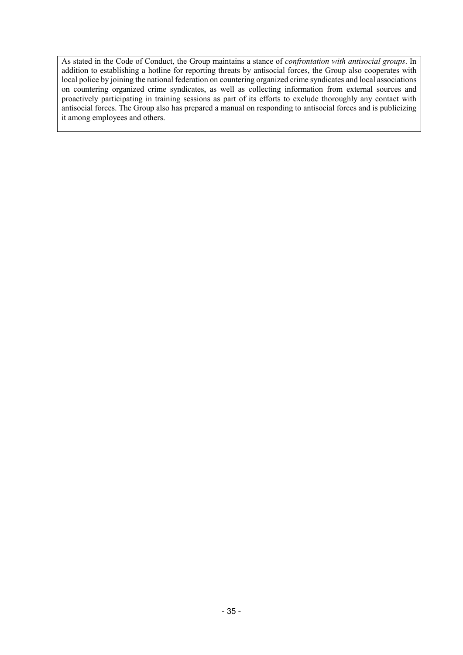As stated in the Code of Conduct, the Group maintains a stance of *confrontation with antisocial groups*. In addition to establishing a hotline for reporting threats by antisocial forces, the Group also cooperates with local police by joining the national federation on countering organized crime syndicates and local associations on countering organized crime syndicates, as well as collecting information from external sources and proactively participating in training sessions as part of its efforts to exclude thoroughly any contact with antisocial forces. The Group also has prepared a manual on responding to antisocial forces and is publicizing it among employees and others.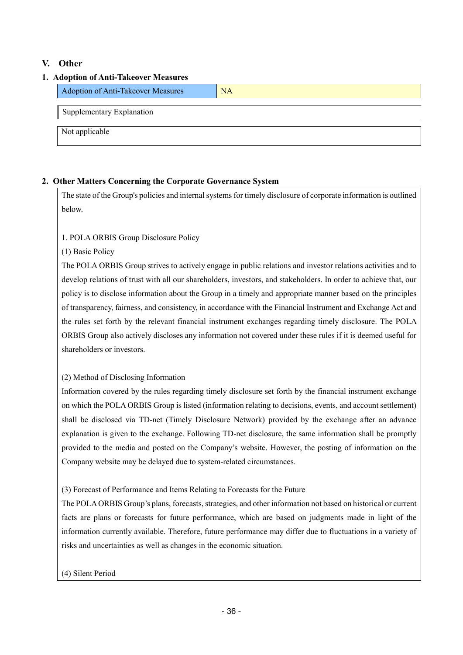## **V. Other**

## **1. Adoption of Anti-Takeover Measures**

| <b>Adoption of Anti-Takeover Measures</b> | <b>NA</b> |
|-------------------------------------------|-----------|
| Supplementary Explanation                 |           |
| Not applicable                            |           |

## **2. Other Matters Concerning the Corporate Governance System**

The state of the Group's policies and internal systems for timely disclosure of corporate information is outlined below.

## 1. POLA ORBIS Group Disclosure Policy

(1) Basic Policy

The POLA ORBIS Group strives to actively engage in public relations and investor relations activities and to develop relations of trust with all our shareholders, investors, and stakeholders. In order to achieve that, our policy is to disclose information about the Group in a timely and appropriate manner based on the principles of transparency, fairness, and consistency, in accordance with the Financial Instrument and Exchange Act and the rules set forth by the relevant financial instrument exchanges regarding timely disclosure. The POLA ORBIS Group also actively discloses any information not covered under these rules if it is deemed useful for shareholders or investors.

## (2) Method of Disclosing Information

Information covered by the rules regarding timely disclosure set forth by the financial instrument exchange on which the POLA ORBIS Group is listed (information relating to decisions, events, and account settlement) shall be disclosed via TD-net (Timely Disclosure Network) provided by the exchange after an advance explanation is given to the exchange. Following TD-net disclosure, the same information shall be promptly provided to the media and posted on the Company's website. However, the posting of information on the Company website may be delayed due to system-related circumstances.

(3) Forecast of Performance and Items Relating to Forecasts for the Future

The POLA ORBIS Group's plans, forecasts, strategies, and other information not based on historical or current facts are plans or forecasts for future performance, which are based on judgments made in light of the information currently available. Therefore, future performance may differ due to fluctuations in a variety of risks and uncertainties as well as changes in the economic situation.

## (4) Silent Period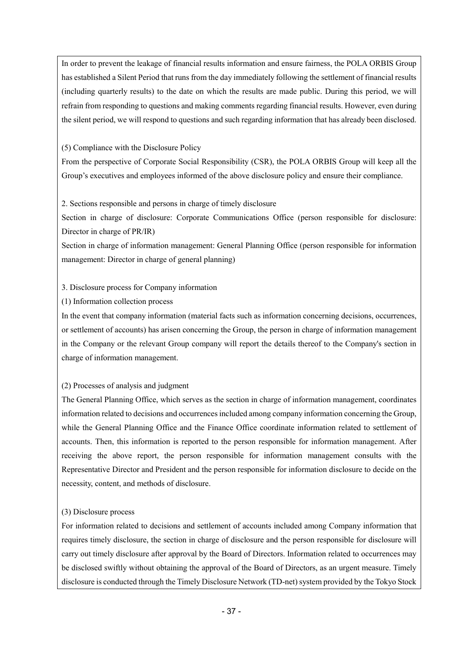In order to prevent the leakage of financial results information and ensure fairness, the POLA ORBIS Group has established a Silent Period that runs from the day immediately following the settlement of financial results (including quarterly results) to the date on which the results are made public. During this period, we will refrain from responding to questions and making comments regarding financial results. However, even during the silent period, we will respond to questions and such regarding information that has already been disclosed.

(5) Compliance with the Disclosure Policy

From the perspective of Corporate Social Responsibility (CSR), the POLA ORBIS Group will keep all the Group's executives and employees informed of the above disclosure policy and ensure their compliance.

2. Sections responsible and persons in charge of timely disclosure

Section in charge of disclosure: Corporate Communications Office (person responsible for disclosure: Director in charge of PR/IR)

Section in charge of information management: General Planning Office (person responsible for information management: Director in charge of general planning)

## 3. Disclosure process for Company information

(1) Information collection process

In the event that company information (material facts such as information concerning decisions, occurrences, or settlement of accounts) has arisen concerning the Group, the person in charge of information management in the Company or the relevant Group company will report the details thereof to the Company's section in charge of information management.

## (2) Processes of analysis and judgment

The General Planning Office, which serves as the section in charge of information management, coordinates information related to decisions and occurrences included among company information concerning the Group, while the General Planning Office and the Finance Office coordinate information related to settlement of accounts. Then, this information is reported to the person responsible for information management. After receiving the above report, the person responsible for information management consults with the Representative Director and President and the person responsible for information disclosure to decide on the necessity, content, and methods of disclosure.

## (3) Disclosure process

For information related to decisions and settlement of accounts included among Company information that requires timely disclosure, the section in charge of disclosure and the person responsible for disclosure will carry out timely disclosure after approval by the Board of Directors. Information related to occurrences may be disclosed swiftly without obtaining the approval of the Board of Directors, as an urgent measure. Timely disclosure is conducted through the Timely Disclosure Network (TD-net) system provided by the Tokyo Stock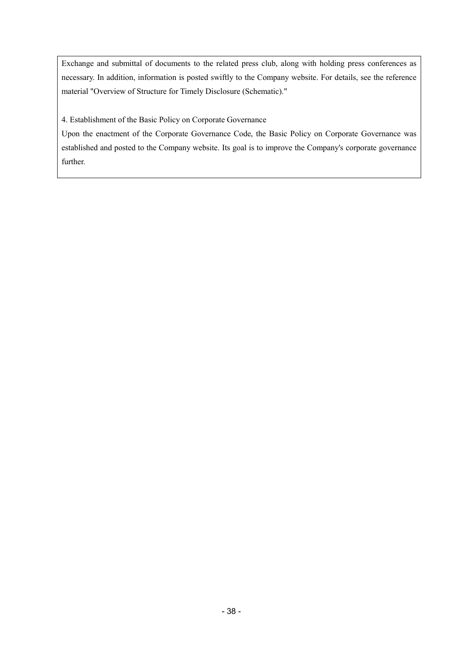Exchange and submittal of documents to the related press club, along with holding press conferences as necessary. In addition, information is posted swiftly to the Company website. For details, see the reference material "Overview of Structure for Timely Disclosure (Schematic)."

4. Establishment of the Basic Policy on Corporate Governance

Upon the enactment of the Corporate Governance Code, the Basic Policy on Corporate Governance was established and posted to the Company website. Its goal is to improve the Company's corporate governance further.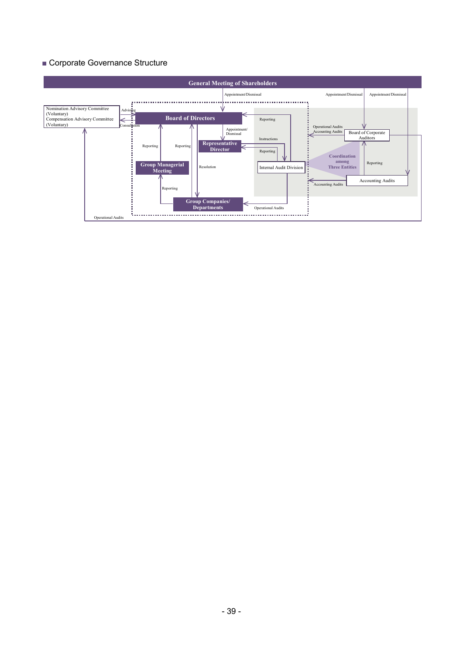## ■ Corporate Governance Structure